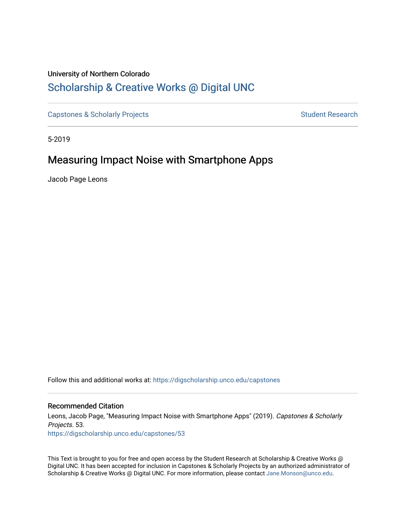# University of Northern Colorado Scholarship & Creative Works @ Digital UNC

Capstones & Scholarly Projects **Student Research** Student Research

5-2019

# Measuring Impact Noise with Smartphone Apps

Jacob Page Leons

Follow this and additional works at: https://digscholarship.unco.edu/capstones

### Recommended Citation

Leons, Jacob Page, "Measuring Impact Noise with Smartphone Apps" (2019). Capstones & Scholarly Projects. 53.

https://digscholarship.unco.edu/capstones/53

This Text is brought to you for free and open access by the Student Research at Scholarship & Creative Works @ Digital UNC. It has been accepted for inclusion in Capstones & Scholarly Projects by an authorized administrator of Scholarship & Creative Works @ Digital UNC. For more information, please contact Jane.Monson@unco.edu.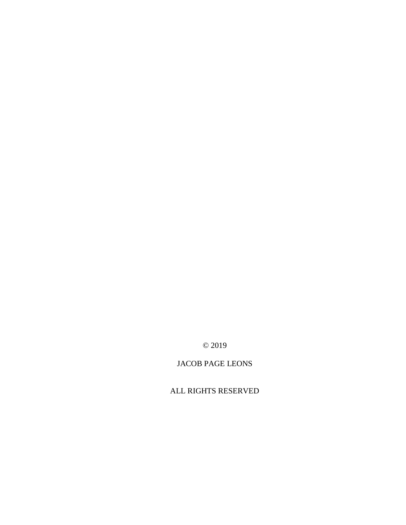© 2019

## JACOB PAGE LEONS

ALL RIGHTS RESERVED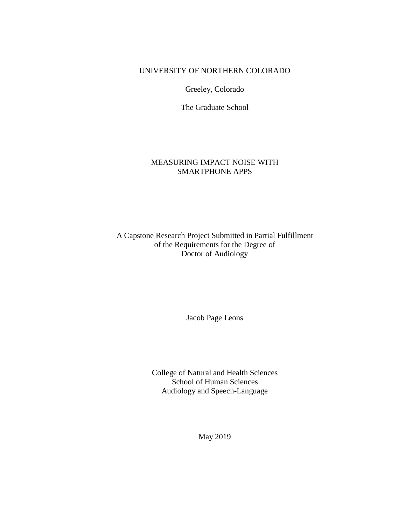## UNIVERSITY OF NORTHERN COLORADO

Greeley, Colorado

The Graduate School

## MEASURING IMPACT NOISE WITH SMARTPHONE APPS

A Capstone Research Project Submitted in Partial Fulfillment of the Requirements for the Degree of Doctor of Audiology

Jacob Page Leons

College of Natural and Health Sciences School of Human Sciences Audiology and Speech-Language

May 2019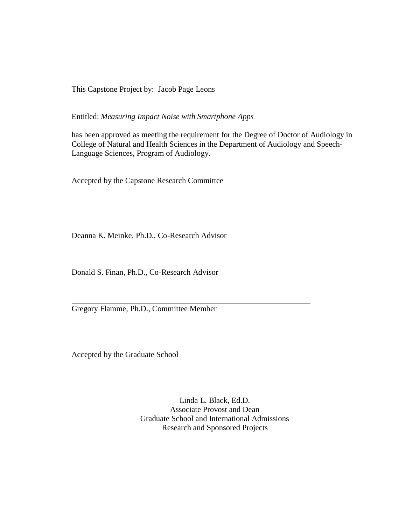This Capstone Project by: Jacob Page Leons

Entitled: *Measuring Impact Noise with Smartphone Apps*

has been approved as meeting the requirement for the Degree of Doctor of Audiology in College of Natural and Health Sciences in the Department of Audiology and Speech-Language Sciences, Program of Audiology.

Accepted by the Capstone Research Committee

Deanna K. Meinke, Ph.D., Co-Research Advisor

Donald S. Finan, Ph.D., Co-Research Advisor

Gregory Flamme, Ph.D., Committee Member

Accepted by the Graduate School

Linda L. Black, Ed.D. Associate Provost and Dean Graduate School and International Admissions Research and Sponsored Projects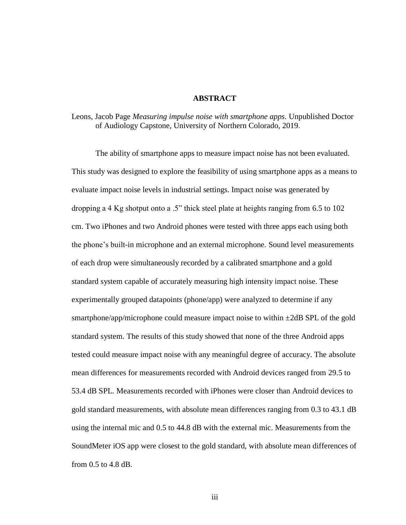### **ABSTRACT**

Leons, Jacob Page *Measuring impulse noise with smartphone apps.* Unpublished Doctor of Audiology Capstone, University of Northern Colorado, 2019.

The ability of smartphone apps to measure impact noise has not been evaluated. This study was designed to explore the feasibility of using smartphone apps as a means to evaluate impact noise levels in industrial settings. Impact noise was generated by dropping a 4 Kg shotput onto a .5" thick steel plate at heights ranging from 6.5 to 102 cm. Two iPhones and two Android phones were tested with three apps each using both the phone's built-in microphone and an external microphone. Sound level measurements of each drop were simultaneously recorded by a calibrated smartphone and a gold standard system capable of accurately measuring high intensity impact noise. These experimentally grouped datapoints (phone/app) were analyzed to determine if any smartphone/app/microphone could measure impact noise to within  $\pm 2dB$  SPL of the gold standard system. The results of this study showed that none of the three Android apps tested could measure impact noise with any meaningful degree of accuracy. The absolute mean differences for measurements recorded with Android devices ranged from 29.5 to 53.4 dB SPL. Measurements recorded with iPhones were closer than Android devices to gold standard measurements, with absolute mean differences ranging from 0.3 to 43.1 dB using the internal mic and 0.5 to 44.8 dB with the external mic. Measurements from the SoundMeter iOS app were closest to the gold standard, with absolute mean differences of from 0.5 to 4.8 dB.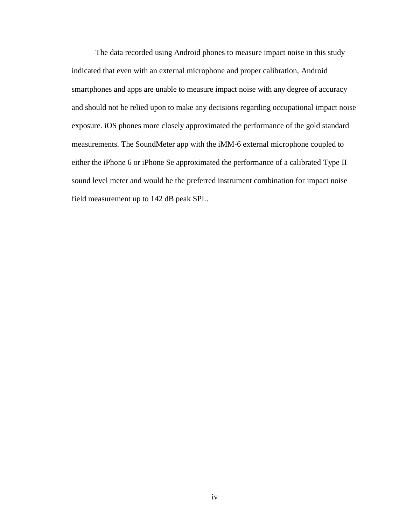The data recorded using Android phones to measure impact noise in this study indicated that even with an external microphone and proper calibration, Android smartphones and apps are unable to measure impact noise with any degree of accuracy and should not be relied upon to make any decisions regarding occupational impact noise exposure. iOS phones more closely approximated the performance of the gold standard measurements. The SoundMeter app with the iMM-6 external microphone coupled to either the iPhone 6 or iPhone Se approximated the performance of a calibrated Type II sound level meter and would be the preferred instrument combination for impact noise field measurement up to 142 dB peak SPL.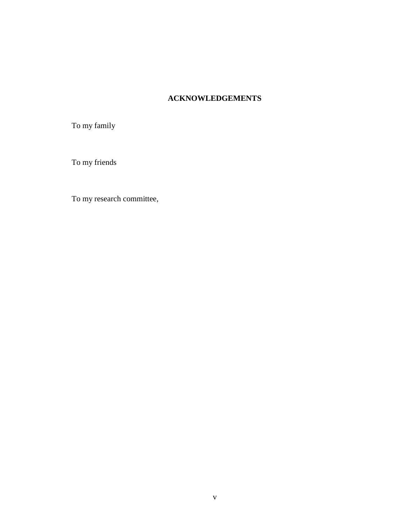## **ACKNOWLEDGEMENTS**

To my family

To my friends

To my research committee,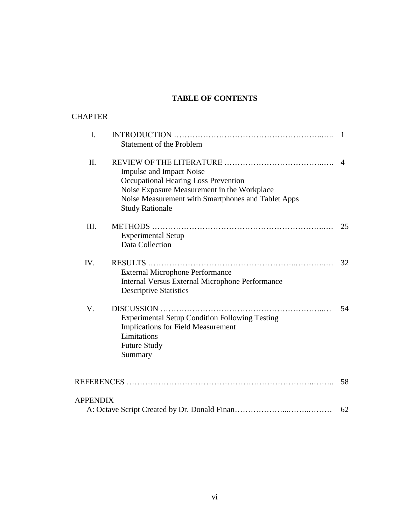## **TABLE OF CONTENTS**

| <b>CHAPTER</b>  |                                                                                                                                                                                                        |    |
|-----------------|--------------------------------------------------------------------------------------------------------------------------------------------------------------------------------------------------------|----|
| I.              | <b>Statement of the Problem</b>                                                                                                                                                                        | 1  |
| II.             | <b>Impulse and Impact Noise</b><br>Occupational Hearing Loss Prevention<br>Noise Exposure Measurement in the Workplace<br>Noise Measurement with Smartphones and Tablet Apps<br><b>Study Rationale</b> | 4  |
| III.            | <b>Experimental Setup</b><br><b>Data Collection</b>                                                                                                                                                    | 25 |
| IV.             | <b>External Microphone Performance</b><br><b>Internal Versus External Microphone Performance</b><br><b>Descriptive Statistics</b>                                                                      | 32 |
| V.              | <b>Experimental Setup Condition Following Testing</b><br><b>Implications for Field Measurement</b><br>Limitations<br><b>Future Study</b><br>Summary                                                    | 54 |
|                 |                                                                                                                                                                                                        | 58 |
| <b>APPENDIX</b> |                                                                                                                                                                                                        | 62 |
|                 |                                                                                                                                                                                                        |    |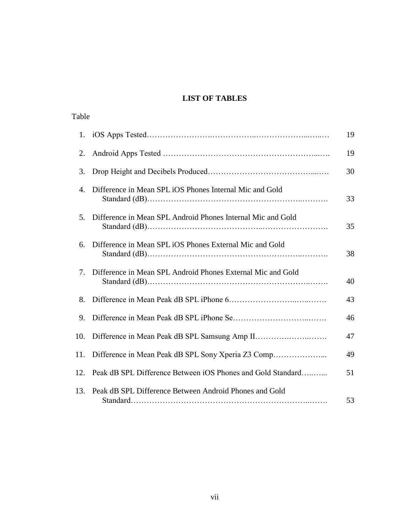## **LIST OF TABLES**

| Table |                                                             |    |
|-------|-------------------------------------------------------------|----|
| 1.    |                                                             | 19 |
| 2.    |                                                             | 19 |
| 3.    |                                                             | 30 |
| 4.    | Difference in Mean SPL iOS Phones Internal Mic and Gold     | 33 |
| 5.    | Difference in Mean SPL Android Phones Internal Mic and Gold | 35 |
| 6.    | Difference in Mean SPL iOS Phones External Mic and Gold     | 38 |
| 7.    | Difference in Mean SPL Android Phones External Mic and Gold | 40 |
| 8.    |                                                             | 43 |
| 9.    |                                                             | 46 |
| 10.   |                                                             | 47 |
| 11.   | Difference in Mean Peak dB SPL Sony Xperia Z3 Comp          | 49 |
| 12.   | Peak dB SPL Difference Between iOS Phones and Gold Standard | 51 |
| 13.   | Peak dB SPL Difference Between Android Phones and Gold      | 53 |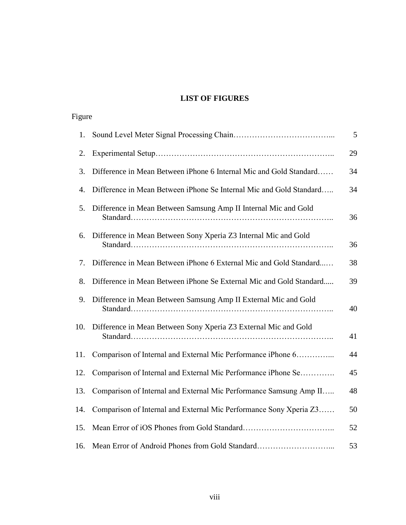## **LIST OF FIGURES**

| Figure |                                                                     |    |
|--------|---------------------------------------------------------------------|----|
| 1.     |                                                                     | 5  |
| 2.     |                                                                     | 29 |
| 3.     | Difference in Mean Between iPhone 6 Internal Mic and Gold Standard  | 34 |
| 4.     | Difference in Mean Between iPhone Se Internal Mic and Gold Standard | 34 |
| 5.     | Difference in Mean Between Samsung Amp II Internal Mic and Gold     | 36 |
| 6.     | Difference in Mean Between Sony Xperia Z3 Internal Mic and Gold     | 36 |
| 7.     | Difference in Mean Between iPhone 6 External Mic and Gold Standard  | 38 |
| 8.     | Difference in Mean Between iPhone Se External Mic and Gold Standard | 39 |
| 9.     | Difference in Mean Between Samsung Amp II External Mic and Gold     | 40 |
| 10.    | Difference in Mean Between Sony Xperia Z3 External Mic and Gold     | 41 |
| 11.    | Comparison of Internal and External Mic Performance iPhone 6        | 44 |
| 12.    | Comparison of Internal and External Mic Performance iPhone Se       | 45 |
| 13.    | Comparison of Internal and External Mic Performance Samsung Amp II  | 48 |
| 14.    | Comparison of Internal and External Mic Performance Sony Xperia Z3  | 50 |
| 15.    |                                                                     | 52 |
| 16.    | Mean Error of Android Phones from Gold Standard                     | 53 |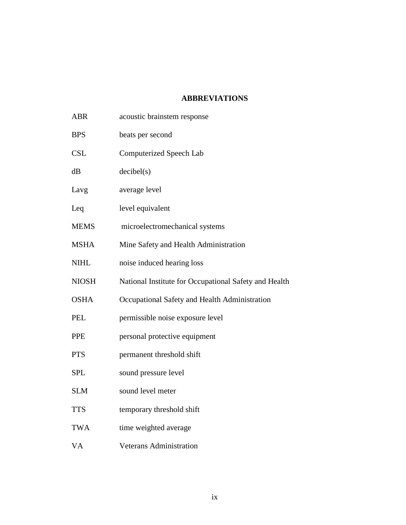## **ABBREVIATIONS**

| <b>ABR</b>   | acoustic brainstem response                           |  |  |
|--------------|-------------------------------------------------------|--|--|
| <b>BPS</b>   | beats per second                                      |  |  |
| <b>CSL</b>   | <b>Computerized Speech Lab</b>                        |  |  |
| dB           | decibel(s)                                            |  |  |
| Lavg         | average level                                         |  |  |
| Leq          | level equivalent                                      |  |  |
| <b>MEMS</b>  | microelectromechanical systems                        |  |  |
| <b>MSHA</b>  | Mine Safety and Health Administration                 |  |  |
| <b>NIHL</b>  | noise induced hearing loss                            |  |  |
| <b>NIOSH</b> | National Institute for Occupational Safety and Health |  |  |
| <b>OSHA</b>  | Occupational Safety and Health Administration         |  |  |
| <b>PEL</b>   | permissible noise exposure level                      |  |  |
| <b>PPE</b>   | personal protective equipment                         |  |  |
| <b>PTS</b>   | permanent threshold shift                             |  |  |
| <b>SPL</b>   | sound pressure level                                  |  |  |
| <b>SLM</b>   | sound level meter                                     |  |  |
| <b>TTS</b>   | temporary threshold shift                             |  |  |
| <b>TWA</b>   | time weighted average                                 |  |  |
| <b>VA</b>    | <b>Veterans Administration</b>                        |  |  |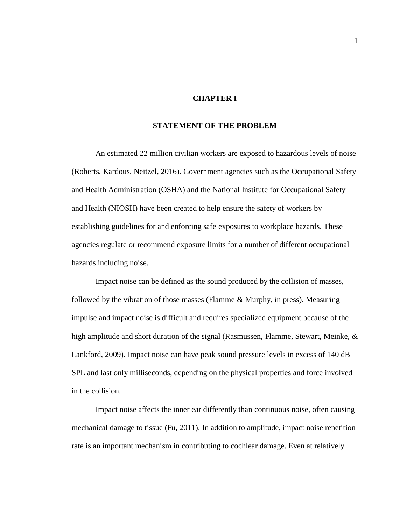## **CHAPTER I**

## **STATEMENT OF THE PROBLEM**

An estimated 22 million civilian workers are exposed to hazardous levels of noise (Roberts, Kardous, Neitzel, 2016). Government agencies such as the Occupational Safety and Health Administration (OSHA) and the National Institute for Occupational Safety and Health (NIOSH) have been created to help ensure the safety of workers by establishing guidelines for and enforcing safe exposures to workplace hazards. These agencies regulate or recommend exposure limits for a number of different occupational hazards including noise.

Impact noise can be defined as the sound produced by the collision of masses, followed by the vibration of those masses (Flamme & Murphy, in press). Measuring impulse and impact noise is difficult and requires specialized equipment because of the high amplitude and short duration of the signal (Rasmussen, Flamme, Stewart, Meinke, & Lankford, 2009). Impact noise can have peak sound pressure levels in excess of 140 dB SPL and last only milliseconds, depending on the physical properties and force involved in the collision.

Impact noise affects the inner ear differently than continuous noise, often causing mechanical damage to tissue (Fu, 2011). In addition to amplitude, impact noise repetition rate is an important mechanism in contributing to cochlear damage. Even at relatively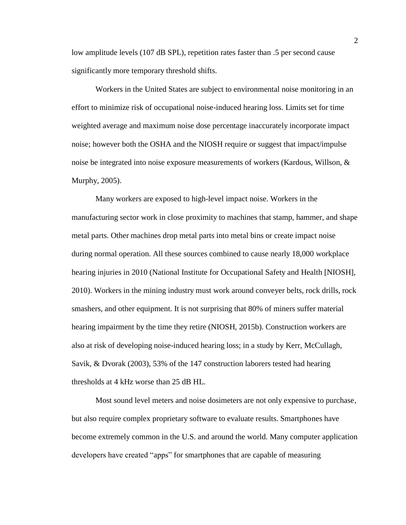low amplitude levels (107 dB SPL), repetition rates faster than .5 per second cause significantly more temporary threshold shifts.

Workers in the United States are subject to environmental noise monitoring in an effort to minimize risk of occupational noise-induced hearing loss. Limits set for time weighted average and maximum noise dose percentage inaccurately incorporate impact noise; however both the OSHA and the NIOSH require or suggest that impact/impulse noise be integrated into noise exposure measurements of workers (Kardous, Willson, & Murphy, 2005).

Many workers are exposed to high-level impact noise. Workers in the manufacturing sector work in close proximity to machines that stamp, hammer, and shape metal parts. Other machines drop metal parts into metal bins or create impact noise during normal operation. All these sources combined to cause nearly 18,000 workplace hearing injuries in 2010 (National Institute for Occupational Safety and Health [NIOSH], 2010). Workers in the mining industry must work around conveyer belts, rock drills, rock smashers, and other equipment. It is not surprising that 80% of miners suffer material hearing impairment by the time they retire (NIOSH, 2015b). Construction workers are also at risk of developing noise-induced hearing loss; in a study by Kerr, McCullagh, Savik, & Dvorak (2003), 53% of the 147 construction laborers tested had hearing thresholds at 4 kHz worse than 25 dB HL.

Most sound level meters and noise dosimeters are not only expensive to purchase, but also require complex proprietary software to evaluate results. Smartphones have become extremely common in the U.S. and around the world. Many computer application developers have created "apps" for smartphones that are capable of measuring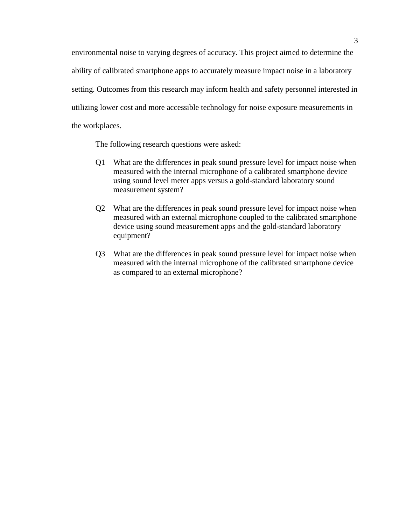environmental noise to varying degrees of accuracy. This project aimed to determine the ability of calibrated smartphone apps to accurately measure impact noise in a laboratory setting. Outcomes from this research may inform health and safety personnel interested in utilizing lower cost and more accessible technology for noise exposure measurements in the workplaces.

The following research questions were asked:

- Q1 What are the differences in peak sound pressure level for impact noise when measured with the internal microphone of a calibrated smartphone device using sound level meter apps versus a gold-standard laboratory sound measurement system?
- Q2 What are the differences in peak sound pressure level for impact noise when measured with an external microphone coupled to the calibrated smartphone device using sound measurement apps and the gold-standard laboratory equipment?
- Q3 What are the differences in peak sound pressure level for impact noise when measured with the internal microphone of the calibrated smartphone device as compared to an external microphone?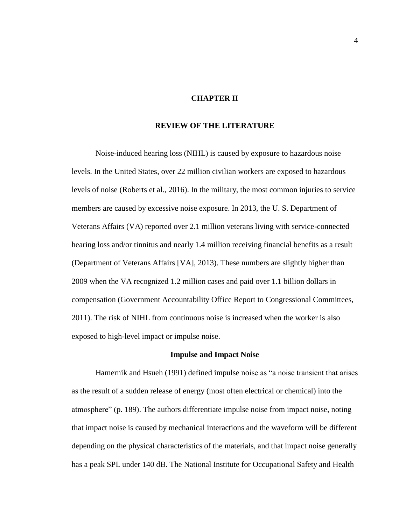### **CHAPTER II**

## **REVIEW OF THE LITERATURE**

Noise-induced hearing loss (NIHL) is caused by exposure to hazardous noise levels. In the United States, over 22 million civilian workers are exposed to hazardous levels of noise (Roberts et al., 2016). In the military, the most common injuries to service members are caused by excessive noise exposure. In 2013, the U. S. Department of Veterans Affairs (VA) reported over 2.1 million veterans living with service-connected hearing loss and/or tinnitus and nearly 1.4 million receiving financial benefits as a result (Department of Veterans Affairs [VA], 2013). These numbers are slightly higher than 2009 when the VA recognized 1.2 million cases and paid over 1.1 billion dollars in compensation (Government Accountability Office Report to Congressional Committees, 2011). The risk of NIHL from continuous noise is increased when the worker is also exposed to high-level impact or impulse noise.

#### **Impulse and Impact Noise**

Hamernik and Hsueh (1991) defined impulse noise as "a noise transient that arises as the result of a sudden release of energy (most often electrical or chemical) into the atmosphere" (p. 189). The authors differentiate impulse noise from impact noise, noting that impact noise is caused by mechanical interactions and the waveform will be different depending on the physical characteristics of the materials, and that impact noise generally has a peak SPL under 140 dB. The National Institute for Occupational Safety and Health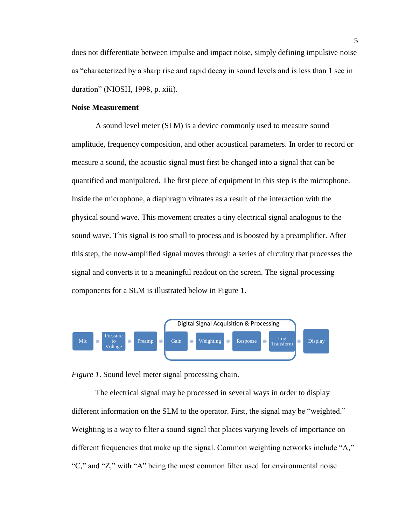does not differentiate between impulse and impact noise, simply defining impulsive noise as "characterized by a sharp rise and rapid decay in sound levels and is less than 1 sec in duration" (NIOSH, 1998, p. xiii).

#### **Noise Measurement**

A sound level meter (SLM) is a device commonly used to measure sound amplitude, frequency composition, and other acoustical parameters. In order to record or measure a sound, the acoustic signal must first be changed into a signal that can be quantified and manipulated. The first piece of equipment in this step is the microphone. Inside the microphone, a diaphragm vibrates as a result of the interaction with the physical sound wave. This movement creates a tiny electrical signal analogous to the sound wave. This signal is too small to process and is boosted by a preamplifier. After this step, the now-amplified signal moves through a series of circuitry that processes the signal and converts it to a meaningful readout on the screen. The signal processing components for a SLM is illustrated below in Figure 1.



*Figure 1*. Sound level meter signal processing chain.

The electrical signal may be processed in several ways in order to display different information on the SLM to the operator. First, the signal may be "weighted." Weighting is a way to filter a sound signal that places varying levels of importance on different frequencies that make up the signal. Common weighting networks include "A," "C," and "Z," with "A" being the most common filter used for environmental noise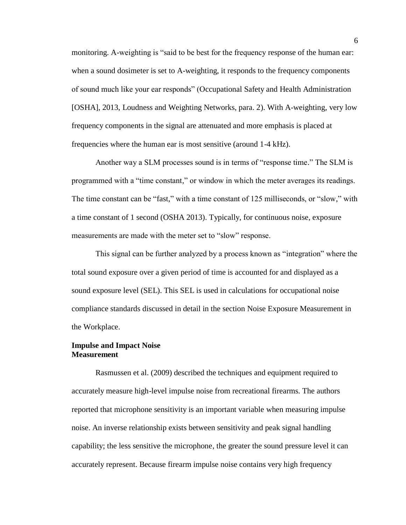monitoring. A-weighting is "said to be best for the frequency response of the human ear: when a sound dosimeter is set to A-weighting, it responds to the frequency components of sound much like your ear responds" (Occupational Safety and Health Administration [OSHA], 2013, Loudness and Weighting Networks, para. 2). With A-weighting, very low frequency components in the signal are attenuated and more emphasis is placed at frequencies where the human ear is most sensitive (around 1-4 kHz).

Another way a SLM processes sound is in terms of "response time." The SLM is programmed with a "time constant," or window in which the meter averages its readings. The time constant can be "fast," with a time constant of 125 milliseconds, or "slow," with a time constant of 1 second (OSHA 2013). Typically, for continuous noise, exposure measurements are made with the meter set to "slow" response.

This signal can be further analyzed by a process known as "integration" where the total sound exposure over a given period of time is accounted for and displayed as a sound exposure level (SEL). This SEL is used in calculations for occupational noise compliance standards discussed in detail in the section Noise Exposure Measurement in the Workplace.

## **Impulse and Impact Noise Measurement**

Rasmussen et al. (2009) described the techniques and equipment required to accurately measure high-level impulse noise from recreational firearms. The authors reported that microphone sensitivity is an important variable when measuring impulse noise. An inverse relationship exists between sensitivity and peak signal handling capability; the less sensitive the microphone, the greater the sound pressure level it can accurately represent. Because firearm impulse noise contains very high frequency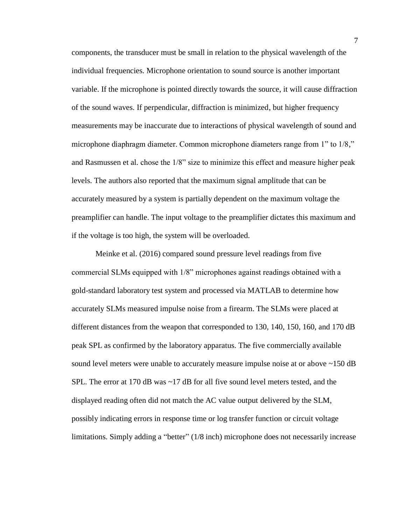components, the transducer must be small in relation to the physical wavelength of the individual frequencies. Microphone orientation to sound source is another important variable. If the microphone is pointed directly towards the source, it will cause diffraction of the sound waves. If perpendicular, diffraction is minimized, but higher frequency measurements may be inaccurate due to interactions of physical wavelength of sound and microphone diaphragm diameter. Common microphone diameters range from 1" to 1/8," and Rasmussen et al. chose the 1/8" size to minimize this effect and measure higher peak levels. The authors also reported that the maximum signal amplitude that can be accurately measured by a system is partially dependent on the maximum voltage the preamplifier can handle. The input voltage to the preamplifier dictates this maximum and if the voltage is too high, the system will be overloaded.

Meinke et al. (2016) compared sound pressure level readings from five commercial SLMs equipped with 1/8" microphones against readings obtained with a gold-standard laboratory test system and processed via MATLAB to determine how accurately SLMs measured impulse noise from a firearm. The SLMs were placed at different distances from the weapon that corresponded to 130, 140, 150, 160, and 170 dB peak SPL as confirmed by the laboratory apparatus. The five commercially available sound level meters were unable to accurately measure impulse noise at or above ~150 dB SPL. The error at 170 dB was  $\sim$  17 dB for all five sound level meters tested, and the displayed reading often did not match the AC value output delivered by the SLM, possibly indicating errors in response time or log transfer function or circuit voltage limitations. Simply adding a "better" (1/8 inch) microphone does not necessarily increase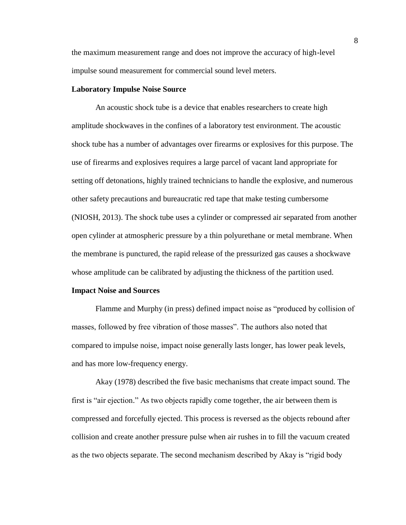the maximum measurement range and does not improve the accuracy of high-level impulse sound measurement for commercial sound level meters.

#### **Laboratory Impulse Noise Source**

An acoustic shock tube is a device that enables researchers to create high amplitude shockwaves in the confines of a laboratory test environment. The acoustic shock tube has a number of advantages over firearms or explosives for this purpose. The use of firearms and explosives requires a large parcel of vacant land appropriate for setting off detonations, highly trained technicians to handle the explosive, and numerous other safety precautions and bureaucratic red tape that make testing cumbersome (NIOSH, 2013). The shock tube uses a cylinder or compressed air separated from another open cylinder at atmospheric pressure by a thin polyurethane or metal membrane. When the membrane is punctured, the rapid release of the pressurized gas causes a shockwave whose amplitude can be calibrated by adjusting the thickness of the partition used.

#### **Impact Noise and Sources**

Flamme and Murphy (in press) defined impact noise as "produced by collision of masses, followed by free vibration of those masses". The authors also noted that compared to impulse noise, impact noise generally lasts longer, has lower peak levels, and has more low-frequency energy.

Akay (1978) described the five basic mechanisms that create impact sound. The first is "air ejection." As two objects rapidly come together, the air between them is compressed and forcefully ejected. This process is reversed as the objects rebound after collision and create another pressure pulse when air rushes in to fill the vacuum created as the two objects separate. The second mechanism described by Akay is "rigid body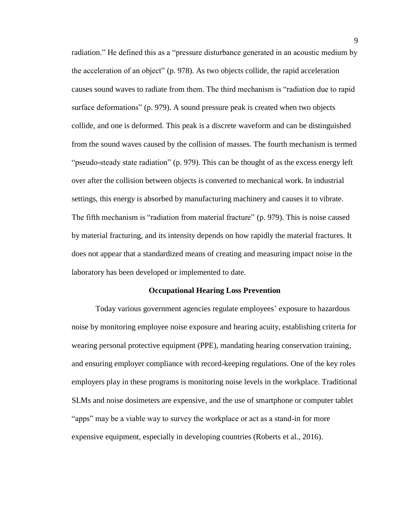radiation." He defined this as a "pressure disturbance generated in an acoustic medium by the acceleration of an object" (p. 978). As two objects collide, the rapid acceleration causes sound waves to radiate from them. The third mechanism is "radiation due to rapid surface deformations" (p. 979). A sound pressure peak is created when two objects collide, and one is deformed. This peak is a discrete waveform and can be distinguished from the sound waves caused by the collision of masses. The fourth mechanism is termed "pseudo-steady state radiation" (p. 979). This can be thought of as the excess energy left over after the collision between objects is converted to mechanical work. In industrial settings, this energy is absorbed by manufacturing machinery and causes it to vibrate. The fifth mechanism is "radiation from material fracture" (p. 979). This is noise caused by material fracturing, and its intensity depends on how rapidly the material fractures. It does not appear that a standardized means of creating and measuring impact noise in the laboratory has been developed or implemented to date.

#### **Occupational Hearing Loss Prevention**

Today various government agencies regulate employees' exposure to hazardous noise by monitoring employee noise exposure and hearing acuity, establishing criteria for wearing personal protective equipment (PPE), mandating hearing conservation training, and ensuring employer compliance with record-keeping regulations. One of the key roles employers play in these programs is monitoring noise levels in the workplace. Traditional SLMs and noise dosimeters are expensive, and the use of smartphone or computer tablet "apps" may be a viable way to survey the workplace or act as a stand-in for more expensive equipment, especially in developing countries (Roberts et al., 2016).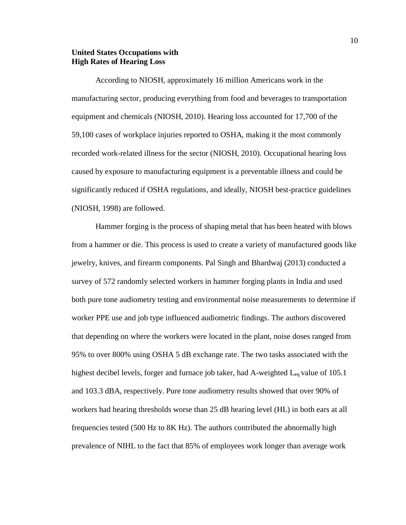## **United States Occupations with High Rates of Hearing Loss**

According to NIOSH, approximately 16 million Americans work in the manufacturing sector, producing everything from food and beverages to transportation equipment and chemicals (NIOSH, 2010). Hearing loss accounted for 17,700 of the 59,100 cases of workplace injuries reported to OSHA, making it the most commonly recorded work-related illness for the sector (NIOSH, 2010). Occupational hearing loss caused by exposure to manufacturing equipment is a preventable illness and could be significantly reduced if OSHA regulations, and ideally, NIOSH best-practice guidelines (NIOSH, 1998) are followed.

Hammer forging is the process of shaping metal that has been heated with blows from a hammer or die. This process is used to create a variety of manufactured goods like jewelry, knives, and firearm components. Pal Singh and Bhardwaj (2013) conducted a survey of 572 randomly selected workers in hammer forging plants in India and used both pure tone audiometry testing and environmental noise measurements to determine if worker PPE use and job type influenced audiometric findings. The authors discovered that depending on where the workers were located in the plant, noise doses ranged from 95% to over 800% using OSHA 5 dB exchange rate. The two tasks associated with the highest decibel levels, forger and furnace job taker, had A-weighted  $L_{eq}$  value of 105.1 and 103.3 dBA, respectively. Pure tone audiometry results showed that over 90% of workers had hearing thresholds worse than 25 dB hearing level (HL) in both ears at all frequencies tested (500 Hz to 8K Hz). The authors contributed the abnormally high prevalence of NIHL to the fact that 85% of employees work longer than average work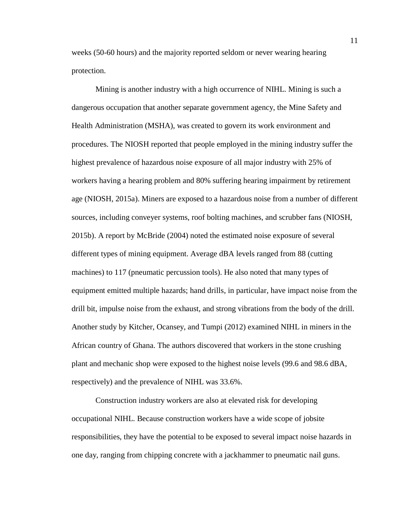weeks (50-60 hours) and the majority reported seldom or never wearing hearing protection.

Mining is another industry with a high occurrence of NIHL. Mining is such a dangerous occupation that another separate government agency, the Mine Safety and Health Administration (MSHA), was created to govern its work environment and procedures. The NIOSH reported that people employed in the mining industry suffer the highest prevalence of hazardous noise exposure of all major industry with 25% of workers having a hearing problem and 80% suffering hearing impairment by retirement age (NIOSH, 2015a). Miners are exposed to a hazardous noise from a number of different sources, including conveyer systems, roof bolting machines, and scrubber fans (NIOSH, 2015b). A report by McBride (2004) noted the estimated noise exposure of several different types of mining equipment. Average dBA levels ranged from 88 (cutting machines) to 117 (pneumatic percussion tools). He also noted that many types of equipment emitted multiple hazards; hand drills, in particular, have impact noise from the drill bit, impulse noise from the exhaust, and strong vibrations from the body of the drill. Another study by Kitcher, Ocansey, and Tumpi (2012) examined NIHL in miners in the African country of Ghana. The authors discovered that workers in the stone crushing plant and mechanic shop were exposed to the highest noise levels (99.6 and 98.6 dBA, respectively) and the prevalence of NIHL was 33.6%.

Construction industry workers are also at elevated risk for developing occupational NIHL. Because construction workers have a wide scope of jobsite responsibilities, they have the potential to be exposed to several impact noise hazards in one day, ranging from chipping concrete with a jackhammer to pneumatic nail guns.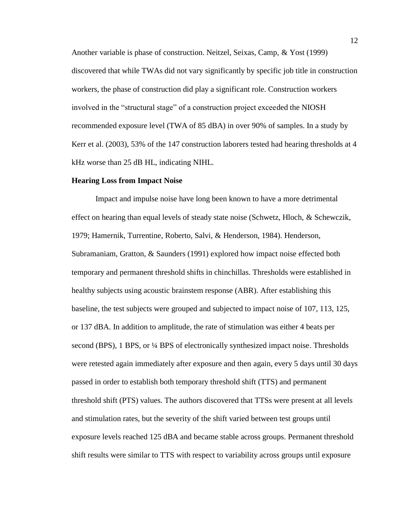Another variable is phase of construction. Neitzel, Seixas, Camp, & Yost (1999) discovered that while TWAs did not vary significantly by specific job title in construction workers, the phase of construction did play a significant role. Construction workers involved in the "structural stage" of a construction project exceeded the NIOSH recommended exposure level (TWA of 85 dBA) in over 90% of samples. In a study by Kerr et al. (2003), 53% of the 147 construction laborers tested had hearing thresholds at 4 kHz worse than 25 dB HL, indicating NIHL.

#### **Hearing Loss from Impact Noise**

Impact and impulse noise have long been known to have a more detrimental effect on hearing than equal levels of steady state noise (Schwetz, Hloch, & Schewczik, 1979; Hamernik, Turrentine, Roberto, Salvi, & Henderson, 1984). Henderson, Subramaniam, Gratton, & Saunders (1991) explored how impact noise effected both temporary and permanent threshold shifts in chinchillas. Thresholds were established in healthy subjects using acoustic brainstem response (ABR). After establishing this baseline, the test subjects were grouped and subjected to impact noise of 107, 113, 125, or 137 dBA. In addition to amplitude, the rate of stimulation was either 4 beats per second (BPS), 1 BPS, or 1/4 BPS of electronically synthesized impact noise. Thresholds were retested again immediately after exposure and then again, every 5 days until 30 days passed in order to establish both temporary threshold shift (TTS) and permanent threshold shift (PTS) values. The authors discovered that TTSs were present at all levels and stimulation rates, but the severity of the shift varied between test groups until exposure levels reached 125 dBA and became stable across groups. Permanent threshold shift results were similar to TTS with respect to variability across groups until exposure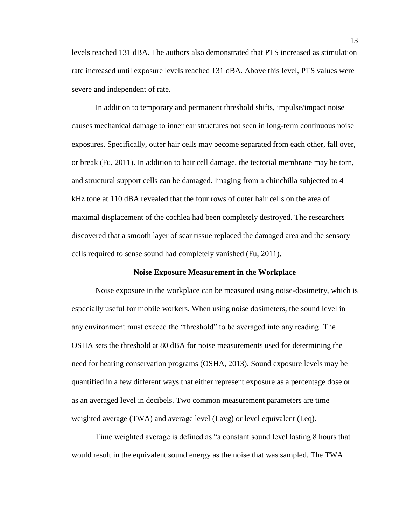levels reached 131 dBA. The authors also demonstrated that PTS increased as stimulation rate increased until exposure levels reached 131 dBA. Above this level, PTS values were severe and independent of rate.

In addition to temporary and permanent threshold shifts, impulse/impact noise causes mechanical damage to inner ear structures not seen in long-term continuous noise exposures. Specifically, outer hair cells may become separated from each other, fall over, or break (Fu, 2011). In addition to hair cell damage, the tectorial membrane may be torn, and structural support cells can be damaged. Imaging from a chinchilla subjected to 4 kHz tone at 110 dBA revealed that the four rows of outer hair cells on the area of maximal displacement of the cochlea had been completely destroyed. The researchers discovered that a smooth layer of scar tissue replaced the damaged area and the sensory cells required to sense sound had completely vanished (Fu, 2011).

#### **Noise Exposure Measurement in the Workplace**

Noise exposure in the workplace can be measured using noise-dosimetry, which is especially useful for mobile workers. When using noise dosimeters, the sound level in any environment must exceed the "threshold" to be averaged into any reading. The OSHA sets the threshold at 80 dBA for noise measurements used for determining the need for hearing conservation programs (OSHA, 2013). Sound exposure levels may be quantified in a few different ways that either represent exposure as a percentage dose or as an averaged level in decibels. Two common measurement parameters are time weighted average (TWA) and average level (Lavg) or level equivalent (Leq).

Time weighted average is defined as "a constant sound level lasting 8 hours that would result in the equivalent sound energy as the noise that was sampled. The TWA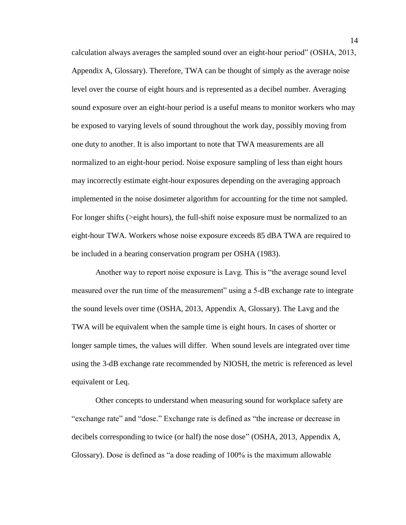calculation always averages the sampled sound over an eight-hour period" (OSHA, 2013, Appendix A, Glossary). Therefore, TWA can be thought of simply as the average noise level over the course of eight hours and is represented as a decibel number. Averaging sound exposure over an eight-hour period is a useful means to monitor workers who may be exposed to varying levels of sound throughout the work day, possibly moving from one duty to another. It is also important to note that TWA measurements are all normalized to an eight-hour period. Noise exposure sampling of less than eight hours may incorrectly estimate eight-hour exposures depending on the averaging approach implemented in the noise dosimeter algorithm for accounting for the time not sampled. For longer shifts (>eight hours), the full-shift noise exposure must be normalized to an eight-hour TWA. Workers whose noise exposure exceeds 85 dBA TWA are required to be included in a hearing conservation program per OSHA (1983).

Another way to report noise exposure is Lavg. This is "the average sound level measured over the run time of the measurement" using a 5-dB exchange rate to integrate the sound levels over time (OSHA, 2013, Appendix A, Glossary). The Lavg and the TWA will be equivalent when the sample time is eight hours. In cases of shorter or longer sample times, the values will differ. When sound levels are integrated over time using the 3-dB exchange rate recommended by NIOSH, the metric is referenced as level equivalent or Leq.

Other concepts to understand when measuring sound for workplace safety are "exchange rate" and "dose." Exchange rate is defined as "the increase or decrease in decibels corresponding to twice (or half) the nose dose" (OSHA, 2013, Appendix A, Glossary). Dose is defined as "a dose reading of 100% is the maximum allowable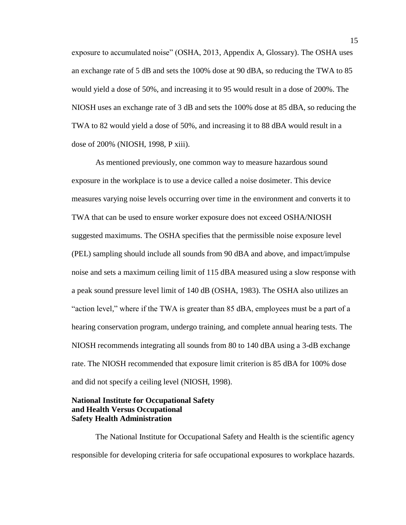exposure to accumulated noise" (OSHA, 2013, Appendix A, Glossary). The OSHA uses an exchange rate of 5 dB and sets the 100% dose at 90 dBA, so reducing the TWA to 85 would yield a dose of 50%, and increasing it to 95 would result in a dose of 200%. The NIOSH uses an exchange rate of 3 dB and sets the 100% dose at 85 dBA, so reducing the TWA to 82 would yield a dose of 50%, and increasing it to 88 dBA would result in a dose of 200% (NIOSH, 1998, P xiii).

As mentioned previously, one common way to measure hazardous sound exposure in the workplace is to use a device called a noise dosimeter. This device measures varying noise levels occurring over time in the environment and converts it to TWA that can be used to ensure worker exposure does not exceed OSHA/NIOSH suggested maximums. The OSHA specifies that the permissible noise exposure level (PEL) sampling should include all sounds from 90 dBA and above, and impact/impulse noise and sets a maximum ceiling limit of 115 dBA measured using a slow response with a peak sound pressure level limit of 140 dB (OSHA, 1983). The OSHA also utilizes an "action level," where if the TWA is greater than 85 dBA, employees must be a part of a hearing conservation program, undergo training, and complete annual hearing tests. The NIOSH recommends integrating all sounds from 80 to 140 dBA using a 3-dB exchange rate. The NIOSH recommended that exposure limit criterion is 85 dBA for 100% dose and did not specify a ceiling level (NIOSH, 1998).

## **National Institute for Occupational Safety and Health Versus Occupational Safety Health Administration**

The National Institute for Occupational Safety and Health is the scientific agency responsible for developing criteria for safe occupational exposures to workplace hazards.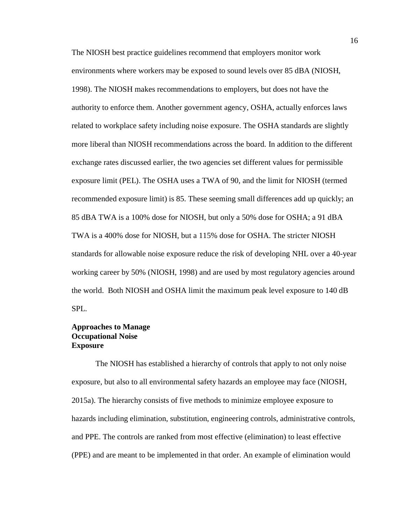The NIOSH best practice guidelines recommend that employers monitor work environments where workers may be exposed to sound levels over 85 dBA (NIOSH, 1998). The NIOSH makes recommendations to employers, but does not have the authority to enforce them. Another government agency, OSHA, actually enforces laws related to workplace safety including noise exposure. The OSHA standards are slightly more liberal than NIOSH recommendations across the board. In addition to the different exchange rates discussed earlier, the two agencies set different values for permissible exposure limit (PEL). The OSHA uses a TWA of 90, and the limit for NIOSH (termed recommended exposure limit) is 85. These seeming small differences add up quickly; an 85 dBA TWA is a 100% dose for NIOSH, but only a 50% dose for OSHA; a 91 dBA TWA is a 400% dose for NIOSH, but a 115% dose for OSHA. The stricter NIOSH standards for allowable noise exposure reduce the risk of developing NHL over a 40-year working career by 50% (NIOSH, 1998) and are used by most regulatory agencies around the world. Both NIOSH and OSHA limit the maximum peak level exposure to 140 dB SPL.

## **Approaches to Manage Occupational Noise Exposure**

The NIOSH has established a hierarchy of controls that apply to not only noise exposure, but also to all environmental safety hazards an employee may face (NIOSH, 2015a). The hierarchy consists of five methods to minimize employee exposure to hazards including elimination, substitution, engineering controls, administrative controls, and PPE. The controls are ranked from most effective (elimination) to least effective (PPE) and are meant to be implemented in that order. An example of elimination would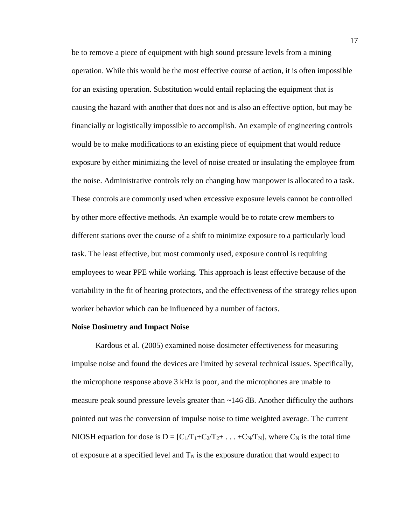be to remove a piece of equipment with high sound pressure levels from a mining operation. While this would be the most effective course of action, it is often impossible for an existing operation. Substitution would entail replacing the equipment that is causing the hazard with another that does not and is also an effective option, but may be financially or logistically impossible to accomplish. An example of engineering controls would be to make modifications to an existing piece of equipment that would reduce exposure by either minimizing the level of noise created or insulating the employee from the noise. Administrative controls rely on changing how manpower is allocated to a task. These controls are commonly used when excessive exposure levels cannot be controlled by other more effective methods. An example would be to rotate crew members to different stations over the course of a shift to minimize exposure to a particularly loud task. The least effective, but most commonly used, exposure control is requiring employees to wear PPE while working. This approach is least effective because of the variability in the fit of hearing protectors, and the effectiveness of the strategy relies upon worker behavior which can be influenced by a number of factors.

#### **Noise Dosimetry and Impact Noise**

Kardous et al. (2005) examined noise dosimeter effectiveness for measuring impulse noise and found the devices are limited by several technical issues. Specifically, the microphone response above 3 kHz is poor, and the microphones are unable to measure peak sound pressure levels greater than  $\sim$  146 dB. Another difficulty the authors pointed out was the conversion of impulse noise to time weighted average. The current NIOSH equation for dose is  $D = [C_1/T_1+C_2/T_2+\ldots+C_N/T_N]$ , where  $C_N$  is the total time of exposure at a specified level and  $T_N$  is the exposure duration that would expect to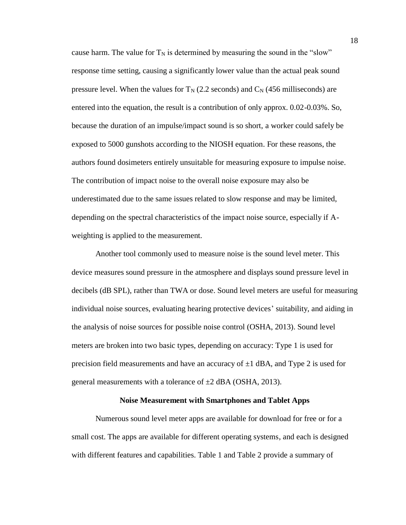cause harm. The value for  $T_N$  is determined by measuring the sound in the "slow" response time setting, causing a significantly lower value than the actual peak sound pressure level. When the values for  $T_N$  (2.2 seconds) and  $C_N$  (456 milliseconds) are entered into the equation, the result is a contribution of only approx. 0.02-0.03%. So, because the duration of an impulse/impact sound is so short, a worker could safely be exposed to 5000 gunshots according to the NIOSH equation. For these reasons, the authors found dosimeters entirely unsuitable for measuring exposure to impulse noise. The contribution of impact noise to the overall noise exposure may also be underestimated due to the same issues related to slow response and may be limited, depending on the spectral characteristics of the impact noise source, especially if Aweighting is applied to the measurement.

Another tool commonly used to measure noise is the sound level meter. This device measures sound pressure in the atmosphere and displays sound pressure level in decibels (dB SPL), rather than TWA or dose. Sound level meters are useful for measuring individual noise sources, evaluating hearing protective devices' suitability, and aiding in the analysis of noise sources for possible noise control (OSHA, 2013). Sound level meters are broken into two basic types, depending on accuracy: Type 1 is used for precision field measurements and have an accuracy of  $\pm 1$  dBA, and Type 2 is used for general measurements with a tolerance of  $\pm 2$  dBA (OSHA, 2013).

#### **Noise Measurement with Smartphones and Tablet Apps**

Numerous sound level meter apps are available for download for free or for a small cost. The apps are available for different operating systems, and each is designed with different features and capabilities. Table 1 and Table 2 provide a summary of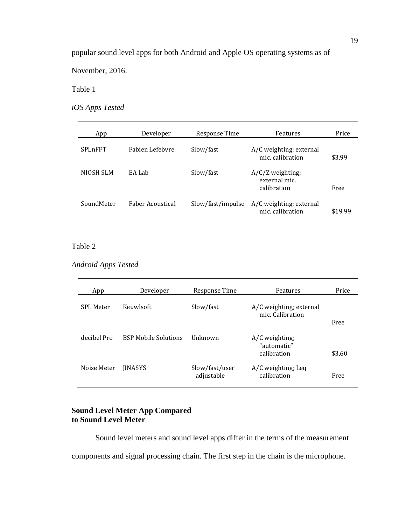popular sound level apps for both Android and Apple OS operating systems as of

November, 2016.

Table 1

*iOS Apps Tested*

| App            | Developer        | Response Time     | Features                                           | Price   |
|----------------|------------------|-------------------|----------------------------------------------------|---------|
| <b>SPLnFFT</b> | Fabien Lefebyre  | Slow/fast         | A/C weighting; external<br>mic. calibration        | \$3.99  |
| NIOSH SLM      | EA Lab           | Slow/fast         | $A/C/Z$ weighting;<br>external mic.<br>calibration | Free    |
| SoundMeter     | Faber Acoustical | Slow/fast/impulse | A/C weighting; external<br>mic. calibration        | \$19.99 |

## Table 2

*Android Apps Tested*

| App         | Developer                   | Response Time                | Features                                     | Price  |
|-------------|-----------------------------|------------------------------|----------------------------------------------|--------|
| SPL Meter   | Keuwlsoft                   | Slow/fast                    | A/C weighting; external<br>mic. Calibration  |        |
|             |                             |                              |                                              | Free   |
| decibel Pro | <b>BSP Mobile Solutions</b> | <b>Unknown</b>               | A/C weighting;<br>"automatic"<br>calibration | \$3.60 |
| Noise Meter | <b>IINASYS</b>              | Slow/fast/user<br>adjustable | A/C weighting; Leq<br>calibration            | Free   |

## **Sound Level Meter App Compared to Sound Level Meter**

Sound level meters and sound level apps differ in the terms of the measurement components and signal processing chain. The first step in the chain is the microphone.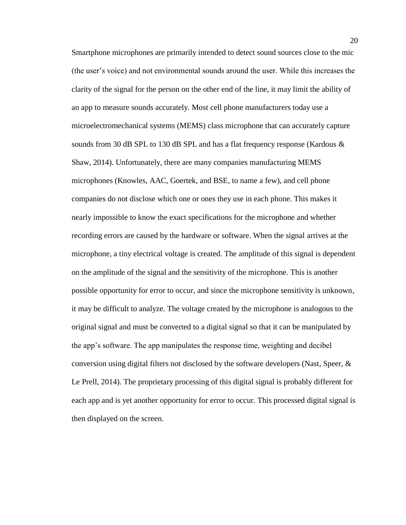Smartphone microphones are primarily intended to detect sound sources close to the mic (the user's voice) and not environmental sounds around the user. While this increases the clarity of the signal for the person on the other end of the line, it may limit the ability of an app to measure sounds accurately. Most cell phone manufacturers today use a microelectromechanical systems (MEMS) class microphone that can accurately capture sounds from 30 dB SPL to 130 dB SPL and has a flat frequency response (Kardous & Shaw, 2014). Unfortunately, there are many companies manufacturing MEMS microphones (Knowles, AAC, Goertek, and BSE, to name a few), and cell phone companies do not disclose which one or ones they use in each phone. This makes it nearly impossible to know the exact specifications for the microphone and whether recording errors are caused by the hardware or software. When the signal arrives at the microphone, a tiny electrical voltage is created. The amplitude of this signal is dependent on the amplitude of the signal and the sensitivity of the microphone. This is another possible opportunity for error to occur, and since the microphone sensitivity is unknown, it may be difficult to analyze. The voltage created by the microphone is analogous to the original signal and must be converted to a digital signal so that it can be manipulated by the app's software. The app manipulates the response time, weighting and decibel conversion using digital filters not disclosed by the software developers (Nast, Speer, & Le Prell, 2014). The proprietary processing of this digital signal is probably different for each app and is yet another opportunity for error to occur. This processed digital signal is then displayed on the screen.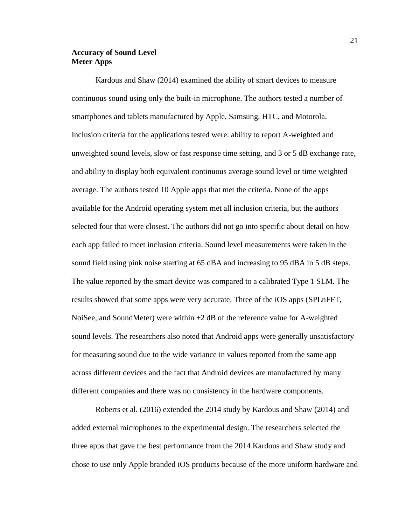## **Accuracy of Sound Level Meter Apps**

Kardous and Shaw (2014) examined the ability of smart devices to measure continuous sound using only the built-in microphone. The authors tested a number of smartphones and tablets manufactured by Apple, Samsung, HTC, and Motorola. Inclusion criteria for the applications tested were: ability to report A-weighted and unweighted sound levels, slow or fast response time setting, and 3 or 5 dB exchange rate, and ability to display both equivalent continuous average sound level or time weighted average. The authors tested 10 Apple apps that met the criteria. None of the apps available for the Android operating system met all inclusion criteria, but the authors selected four that were closest. The authors did not go into specific about detail on how each app failed to meet inclusion criteria. Sound level measurements were taken in the sound field using pink noise starting at 65 dBA and increasing to 95 dBA in 5 dB steps. The value reported by the smart device was compared to a calibrated Type 1 SLM. The results showed that some apps were very accurate. Three of the iOS apps (SPLnFFT, NoiSee, and SoundMeter) were within  $\pm 2$  dB of the reference value for A-weighted sound levels. The researchers also noted that Android apps were generally unsatisfactory for measuring sound due to the wide variance in values reported from the same app across different devices and the fact that Android devices are manufactured by many different companies and there was no consistency in the hardware components.

Roberts et al. (2016) extended the 2014 study by Kardous and Shaw (2014) and added external microphones to the experimental design. The researchers selected the three apps that gave the best performance from the 2014 Kardous and Shaw study and chose to use only Apple branded iOS products because of the more uniform hardware and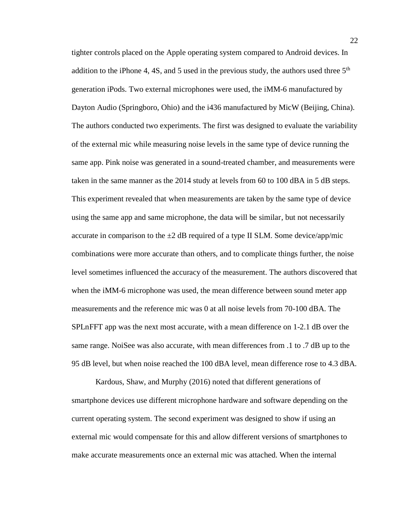tighter controls placed on the Apple operating system compared to Android devices. In addition to the iPhone 4, 4S, and 5 used in the previous study, the authors used three  $5<sup>th</sup>$ generation iPods. Two external microphones were used, the iMM-6 manufactured by Dayton Audio (Springboro, Ohio) and the i436 manufactured by MicW (Beijing, China). The authors conducted two experiments. The first was designed to evaluate the variability of the external mic while measuring noise levels in the same type of device running the same app. Pink noise was generated in a sound-treated chamber, and measurements were taken in the same manner as the 2014 study at levels from 60 to 100 dBA in 5 dB steps. This experiment revealed that when measurements are taken by the same type of device using the same app and same microphone, the data will be similar, but not necessarily accurate in comparison to the  $\pm 2$  dB required of a type II SLM. Some device/app/mic combinations were more accurate than others, and to complicate things further, the noise level sometimes influenced the accuracy of the measurement. The authors discovered that when the iMM-6 microphone was used, the mean difference between sound meter app measurements and the reference mic was 0 at all noise levels from 70-100 dBA. The SPLnFFT app was the next most accurate, with a mean difference on 1-2.1 dB over the same range. NoiSee was also accurate, with mean differences from .1 to .7 dB up to the 95 dB level, but when noise reached the 100 dBA level, mean difference rose to 4.3 dBA.

Kardous, Shaw, and Murphy (2016) noted that different generations of smartphone devices use different microphone hardware and software depending on the current operating system. The second experiment was designed to show if using an external mic would compensate for this and allow different versions of smartphones to make accurate measurements once an external mic was attached. When the internal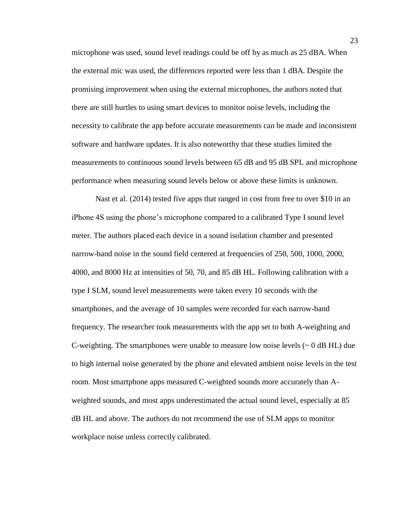microphone was used, sound level readings could be off by as much as 25 dBA. When the external mic was used, the differences reported were less than 1 dBA. Despite the promising improvement when using the external microphones, the authors noted that there are still hurtles to using smart devices to monitor noise levels, including the necessity to calibrate the app before accurate measurements can be made and inconsistent software and hardware updates. It is also noteworthy that these studies limited the measurements to continuous sound levels between 65 dB and 95 dB SPL and microphone performance when measuring sound levels below or above these limits is unknown.

Nast et al. (2014) tested five apps that ranged in cost from free to over \$10 in an iPhone 4S using the phone's microphone compared to a calibrated Type I sound level meter. The authors placed each device in a sound isolation chamber and presented narrow-band noise in the sound field centered at frequencies of 250, 500, 1000, 2000, 4000, and 8000 Hz at intensities of 50, 70, and 85 dB HL. Following calibration with a type I SLM, sound level measurements were taken every 10 seconds with the smartphones, and the average of 10 samples were recorded for each narrow-band frequency. The researcher took measurements with the app set to both A-weighting and C-weighting. The smartphones were unable to measure low noise levels  $({\sim}0$  dB HL) due to high internal noise generated by the phone and elevated ambient noise levels in the test room. Most smartphone apps measured C-weighted sounds more accurately than Aweighted sounds, and most apps underestimated the actual sound level, especially at 85 dB HL and above. The authors do not recommend the use of SLM apps to monitor workplace noise unless correctly calibrated.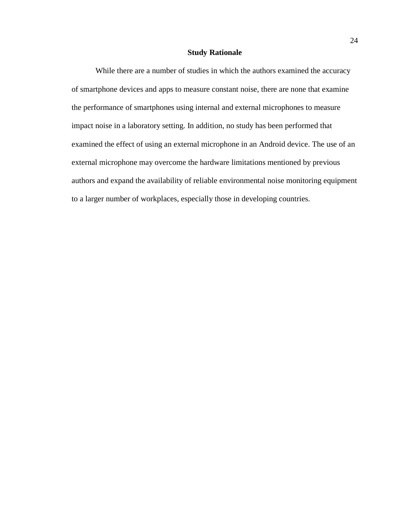#### **Study Rationale**

While there are a number of studies in which the authors examined the accuracy of smartphone devices and apps to measure constant noise, there are none that examine the performance of smartphones using internal and external microphones to measure impact noise in a laboratory setting. In addition, no study has been performed that examined the effect of using an external microphone in an Android device. The use of an external microphone may overcome the hardware limitations mentioned by previous authors and expand the availability of reliable environmental noise monitoring equipment to a larger number of workplaces, especially those in developing countries.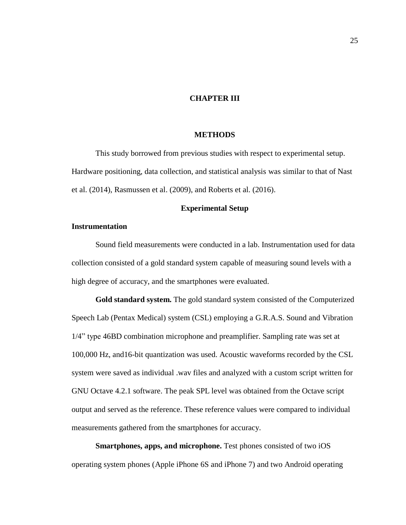## **CHAPTER III**

## **METHODS**

This study borrowed from previous studies with respect to experimental setup. Hardware positioning, data collection, and statistical analysis was similar to that of Nast et al. (2014), Rasmussen et al. (2009), and Roberts et al. (2016).

#### **Experimental Setup**

### **Instrumentation**

Sound field measurements were conducted in a lab. Instrumentation used for data collection consisted of a gold standard system capable of measuring sound levels with a high degree of accuracy, and the smartphones were evaluated.

**Gold standard system.** The gold standard system consisted of the Computerized Speech Lab (Pentax Medical) system (CSL) employing a G.R.A.S. Sound and Vibration 1/4" type 46BD combination microphone and preamplifier. Sampling rate was set at 100,000 Hz, and16-bit quantization was used. Acoustic waveforms recorded by the CSL system were saved as individual .wav files and analyzed with a custom script written for GNU Octave 4.2.1 software. The peak SPL level was obtained from the Octave script output and served as the reference. These reference values were compared to individual measurements gathered from the smartphones for accuracy.

**Smartphones, apps, and microphone.** Test phones consisted of two iOS operating system phones (Apple iPhone 6S and iPhone 7) and two Android operating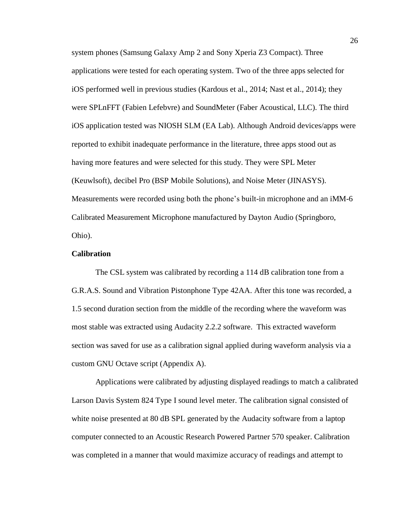system phones (Samsung Galaxy Amp 2 and Sony Xperia Z3 Compact). Three applications were tested for each operating system. Two of the three apps selected for iOS performed well in previous studies (Kardous et al., 2014; Nast et al., 2014); they were SPLnFFT (Fabien Lefebvre) and SoundMeter (Faber Acoustical, LLC). The third iOS application tested was NIOSH SLM (EA Lab). Although Android devices/apps were reported to exhibit inadequate performance in the literature, three apps stood out as having more features and were selected for this study. They were SPL Meter (Keuwlsoft), decibel Pro (BSP Mobile Solutions), and Noise Meter (JINASYS). Measurements were recorded using both the phone's built-in microphone and an iMM-6 Calibrated Measurement Microphone manufactured by Dayton Audio (Springboro, Ohio).

### **Calibration**

The CSL system was calibrated by recording a 114 dB calibration tone from a G.R.A.S. Sound and Vibration Pistonphone Type 42AA. After this tone was recorded, a 1.5 second duration section from the middle of the recording where the waveform was most stable was extracted using Audacity 2.2.2 software. This extracted waveform section was saved for use as a calibration signal applied during waveform analysis via a custom GNU Octave script (Appendix A).

Applications were calibrated by adjusting displayed readings to match a calibrated Larson Davis System 824 Type I sound level meter. The calibration signal consisted of white noise presented at 80 dB SPL generated by the Audacity software from a laptop computer connected to an Acoustic Research Powered Partner 570 speaker. Calibration was completed in a manner that would maximize accuracy of readings and attempt to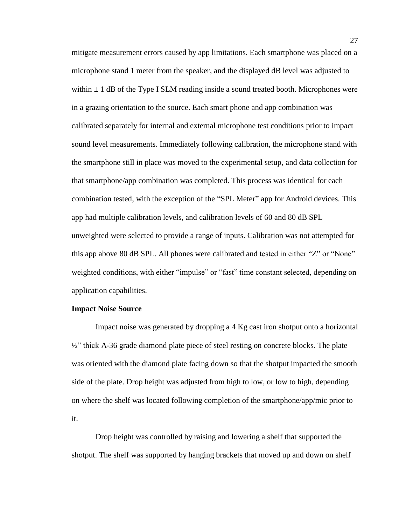mitigate measurement errors caused by app limitations. Each smartphone was placed on a microphone stand 1 meter from the speaker, and the displayed dB level was adjusted to within  $\pm$  1 dB of the Type I SLM reading inside a sound treated booth. Microphones were in a grazing orientation to the source. Each smart phone and app combination was calibrated separately for internal and external microphone test conditions prior to impact sound level measurements. Immediately following calibration, the microphone stand with the smartphone still in place was moved to the experimental setup, and data collection for that smartphone/app combination was completed. This process was identical for each combination tested, with the exception of the "SPL Meter" app for Android devices. This app had multiple calibration levels, and calibration levels of 60 and 80 dB SPL unweighted were selected to provide a range of inputs. Calibration was not attempted for this app above 80 dB SPL. All phones were calibrated and tested in either "Z" or "None" weighted conditions, with either "impulse" or "fast" time constant selected, depending on application capabilities.

#### **Impact Noise Source**

Impact noise was generated by dropping a 4 Kg cast iron shotput onto a horizontal  $\frac{1}{2}$ " thick A-36 grade diamond plate piece of steel resting on concrete blocks. The plate was oriented with the diamond plate facing down so that the shotput impacted the smooth side of the plate. Drop height was adjusted from high to low, or low to high, depending on where the shelf was located following completion of the smartphone/app/mic prior to it.

Drop height was controlled by raising and lowering a shelf that supported the shotput. The shelf was supported by hanging brackets that moved up and down on shelf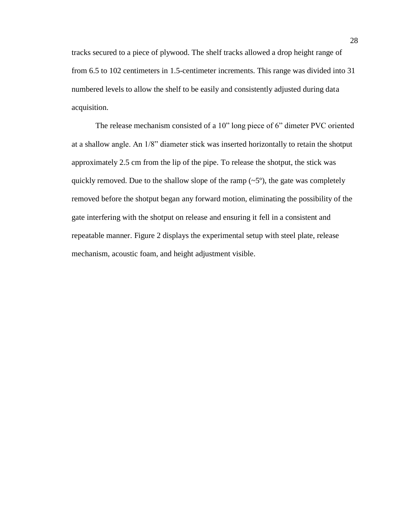tracks secured to a piece of plywood. The shelf tracks allowed a drop height range of from 6.5 to 102 centimeters in 1.5-centimeter increments. This range was divided into 31 numbered levels to allow the shelf to be easily and consistently adjusted during data acquisition.

The release mechanism consisted of a 10" long piece of 6" dimeter PVC oriented at a shallow angle. An 1/8" diameter stick was inserted horizontally to retain the shotput approximately 2.5 cm from the lip of the pipe. To release the shotput, the stick was quickly removed. Due to the shallow slope of the ramp  $({\sim}5^{\circ})$ , the gate was completely removed before the shotput began any forward motion, eliminating the possibility of the gate interfering with the shotput on release and ensuring it fell in a consistent and repeatable manner. Figure 2 displays the experimental setup with steel plate, release mechanism, acoustic foam, and height adjustment visible.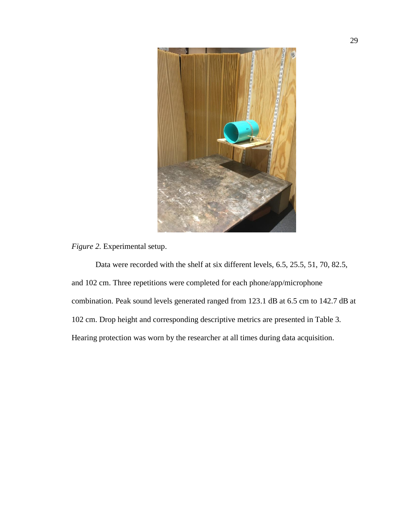

*Figure 2.* Experimental setup.

Data were recorded with the shelf at six different levels, 6.5, 25.5, 51, 70, 82.5, and 102 cm. Three repetitions were completed for each phone/app/microphone combination. Peak sound levels generated ranged from 123.1 dB at 6.5 cm to 142.7 dB at 102 cm. Drop height and corresponding descriptive metrics are presented in Table 3. Hearing protection was worn by the researcher at all times during data acquisition.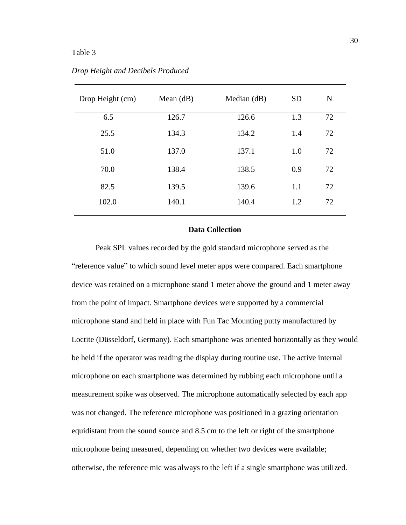## Table 3

| Drop Height (cm) | Mean $(d)$ | Median (dB) | <b>SD</b> | N  |
|------------------|------------|-------------|-----------|----|
| 6.5              | 126.7      | 126.6       | 1.3       | 72 |
| 25.5             | 134.3      | 134.2       | 1.4       | 72 |
| 51.0             | 137.0      | 137.1       | 1.0       | 72 |
| 70.0             | 138.4      | 138.5       | 0.9       | 72 |
| 82.5             | 139.5      | 139.6       | 1.1       | 72 |
| 102.0            | 140.1      | 140.4       | 1.2       | 72 |
|                  |            |             |           |    |

*Drop Height and Decibels Produced*

## **Data Collection**

Peak SPL values recorded by the gold standard microphone served as the "reference value" to which sound level meter apps were compared. Each smartphone device was retained on a microphone stand 1 meter above the ground and 1 meter away from the point of impact. Smartphone devices were supported by a commercial microphone stand and held in place with Fun Tac Mounting putty manufactured by Loctite (Düsseldorf, Germany). Each smartphone was oriented horizontally as they would be held if the operator was reading the display during routine use. The active internal microphone on each smartphone was determined by rubbing each microphone until a measurement spike was observed. The microphone automatically selected by each app was not changed. The reference microphone was positioned in a grazing orientation equidistant from the sound source and 8.5 cm to the left or right of the smartphone microphone being measured, depending on whether two devices were available; otherwise, the reference mic was always to the left if a single smartphone was utilized.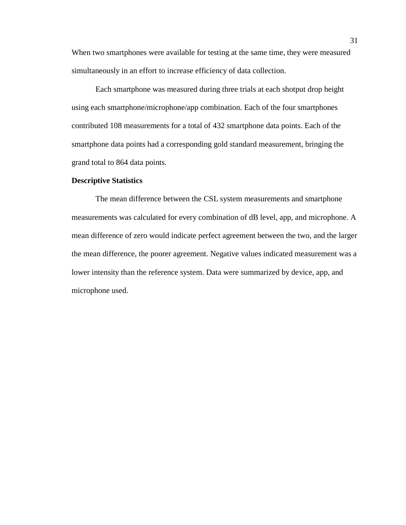When two smartphones were available for testing at the same time, they were measured simultaneously in an effort to increase efficiency of data collection.

Each smartphone was measured during three trials at each shotput drop height using each smartphone/microphone/app combination. Each of the four smartphones contributed 108 measurements for a total of 432 smartphone data points. Each of the smartphone data points had a corresponding gold standard measurement, bringing the grand total to 864 data points.

### **Descriptive Statistics**

The mean difference between the CSL system measurements and smartphone measurements was calculated for every combination of dB level, app, and microphone. A mean difference of zero would indicate perfect agreement between the two, and the larger the mean difference, the poorer agreement. Negative values indicated measurement was a lower intensity than the reference system. Data were summarized by device, app, and microphone used.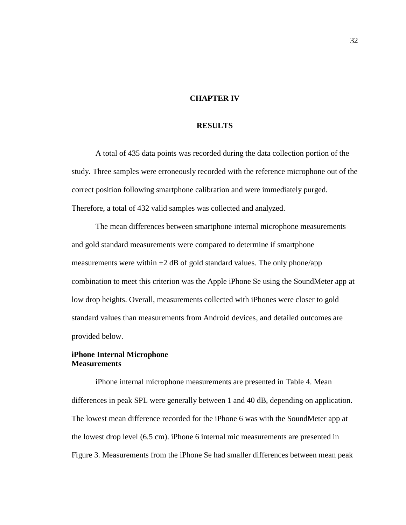## **CHAPTER IV**

### **RESULTS**

A total of 435 data points was recorded during the data collection portion of the study. Three samples were erroneously recorded with the reference microphone out of the correct position following smartphone calibration and were immediately purged. Therefore, a total of 432 valid samples was collected and analyzed.

The mean differences between smartphone internal microphone measurements and gold standard measurements were compared to determine if smartphone measurements were within  $\pm 2$  dB of gold standard values. The only phone/app combination to meet this criterion was the Apple iPhone Se using the SoundMeter app at low drop heights. Overall, measurements collected with iPhones were closer to gold standard values than measurements from Android devices, and detailed outcomes are provided below.

## **iPhone Internal Microphone Measurements**

iPhone internal microphone measurements are presented in Table 4. Mean differences in peak SPL were generally between 1 and 40 dB, depending on application. The lowest mean difference recorded for the iPhone 6 was with the SoundMeter app at the lowest drop level (6.5 cm). iPhone 6 internal mic measurements are presented in Figure 3. Measurements from the iPhone Se had smaller differences between mean peak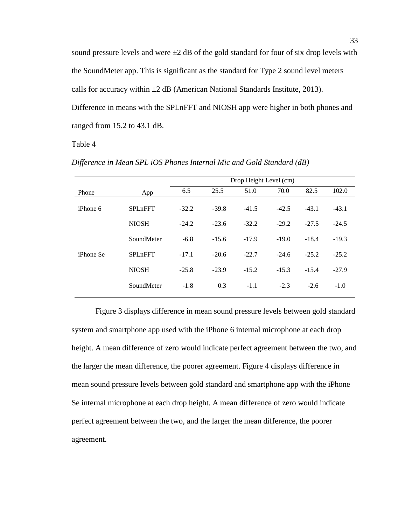sound pressure levels and were  $\pm 2$  dB of the gold standard for four of six drop levels with the SoundMeter app. This is significant as the standard for Type 2 sound level meters calls for accuracy within  $\pm 2$  dB (American National Standards Institute, 2013). Difference in means with the SPLnFFT and NIOSH app were higher in both phones and ranged from 15.2 to 43.1 dB.

### Table 4

|                  |                |         | Drop Height Level (cm) |         |         |         |         |  |  |  |
|------------------|----------------|---------|------------------------|---------|---------|---------|---------|--|--|--|
| Phone            | App            | 6.5     | 25.5                   | 51.0    | 70.0    | 82.5    | 102.0   |  |  |  |
| $i2$ iPhone 6    | <b>SPLnFFT</b> | $-32.2$ | $-39.8$                | $-41.5$ | $-42.5$ | $-43.1$ | $-43.1$ |  |  |  |
|                  | <b>NIOSH</b>   | $-24.2$ | $-23.6$                | $-32.2$ | $-29.2$ | $-27.5$ | $-24.5$ |  |  |  |
|                  | SoundMeter     | $-6.8$  | $-15.6$                | $-17.9$ | $-19.0$ | $-18.4$ | $-19.3$ |  |  |  |
| <i>iPhone Se</i> | <b>SPLnFFT</b> | $-17.1$ | $-20.6$                | $-22.7$ | $-24.6$ | $-25.2$ | $-25.2$ |  |  |  |
|                  | <b>NIOSH</b>   | $-25.8$ | $-23.9$                | $-15.2$ | $-15.3$ | $-15.4$ | $-27.9$ |  |  |  |
|                  | SoundMeter     | $-1.8$  | 0.3                    | $-1.1$  | $-2.3$  | $-2.6$  | $-1.0$  |  |  |  |

*Difference in Mean SPL iOS Phones Internal Mic and Gold Standard (dB)*

Figure 3 displays difference in mean sound pressure levels between gold standard system and smartphone app used with the iPhone 6 internal microphone at each drop height. A mean difference of zero would indicate perfect agreement between the two, and the larger the mean difference, the poorer agreement. Figure 4 displays difference in mean sound pressure levels between gold standard and smartphone app with the iPhone Se internal microphone at each drop height. A mean difference of zero would indicate perfect agreement between the two, and the larger the mean difference, the poorer agreement.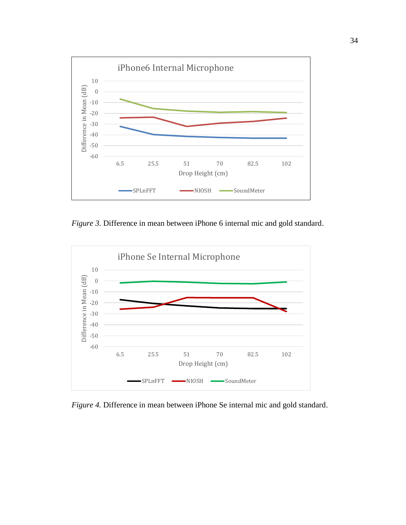

*Figure 3.* Difference in mean between iPhone 6 internal mic and gold standard.



*Figure 4.* Difference in mean between iPhone Se internal mic and gold standard.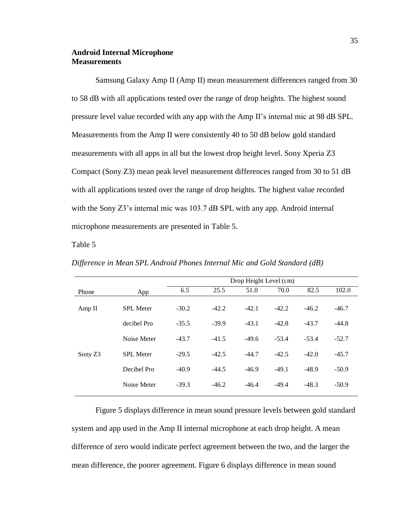## **Android Internal Microphone Measurements**

Samsung Galaxy Amp II (Amp II) mean measurement differences ranged from 30 to 58 dB with all applications tested over the range of drop heights. The highest sound pressure level value recorded with any app with the Amp II's internal mic at 98 dB SPL. Measurements from the Amp II were consistently 40 to 50 dB below gold standard measurements with all apps in all but the lowest drop height level. Sony Xperia Z3 Compact (Sony Z3) mean peak level measurement differences ranged from 30 to 51 dB with all applications tested over the range of drop heights. The highest value recorded with the Sony Z3's internal mic was 103.7 dB SPL with any app. Android internal microphone measurements are presented in Table 5.

Table 5

*Difference in Mean SPL Android Phones Internal Mic and Gold Standard (dB)*

|         |                  | Drop Height Level (cm) |         |         |         |         |         |  |  |
|---------|------------------|------------------------|---------|---------|---------|---------|---------|--|--|
| Phone   | App              | 6.5                    | 25.5    | 51.0    | 70.0    | 82.5    | 102.0   |  |  |
| Amp II  | <b>SPL</b> Meter | $-30.2$                | $-42.2$ | $-42.1$ | $-42.2$ | $-46.2$ | $-46.7$ |  |  |
|         | decibel Pro      | $-35.5$                | $-39.9$ | $-43.1$ | $-42.8$ | $-43.7$ | $-44.8$ |  |  |
|         | Noise Meter      | $-43.7$                | $-41.5$ | $-49.6$ | $-53.4$ | $-53.4$ | $-52.7$ |  |  |
| Sony Z3 | <b>SPL</b> Meter | $-29.5$                | $-42.5$ | $-44.7$ | $-42.5$ | $-42.0$ | $-45.7$ |  |  |
|         | Decibel Pro      | $-40.9$                | $-44.5$ | $-46.9$ | $-49.1$ | $-48.9$ | $-50.9$ |  |  |
|         | Noise Meter      | $-39.3$                | $-46.2$ | $-46.4$ | $-49.4$ | $-48.3$ | $-50.9$ |  |  |
|         |                  |                        |         |         |         |         |         |  |  |

Figure 5 displays difference in mean sound pressure levels between gold standard system and app used in the Amp II internal microphone at each drop height. A mean difference of zero would indicate perfect agreement between the two, and the larger the mean difference, the poorer agreement. Figure 6 displays difference in mean sound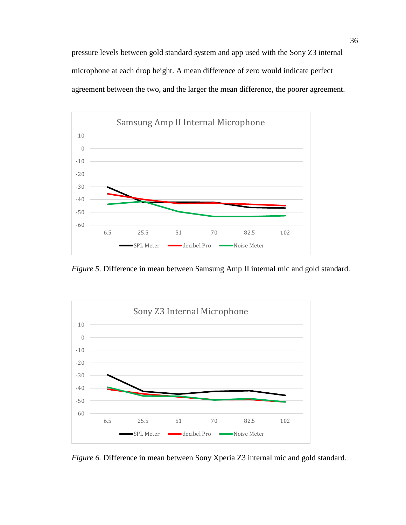pressure levels between gold standard system and app used with the Sony Z3 internal microphone at each drop height. A mean difference of zero would indicate perfect agreement between the two, and the larger the mean difference, the poorer agreement.



*Figure 5.* Difference in mean between Samsung Amp II internal mic and gold standard.



*Figure 6.* Difference in mean between Sony Xperia Z3 internal mic and gold standard.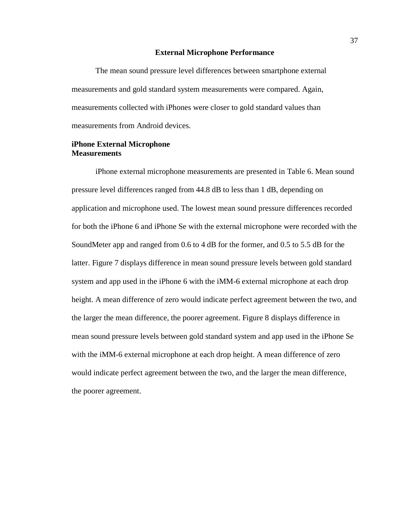### **External Microphone Performance**

The mean sound pressure level differences between smartphone external measurements and gold standard system measurements were compared. Again, measurements collected with iPhones were closer to gold standard values than measurements from Android devices.

## **iPhone External Microphone Measurements**

iPhone external microphone measurements are presented in Table 6. Mean sound pressure level differences ranged from 44.8 dB to less than 1 dB, depending on application and microphone used. The lowest mean sound pressure differences recorded for both the iPhone 6 and iPhone Se with the external microphone were recorded with the SoundMeter app and ranged from 0.6 to 4 dB for the former, and 0.5 to 5.5 dB for the latter. Figure 7 displays difference in mean sound pressure levels between gold standard system and app used in the iPhone 6 with the iMM-6 external microphone at each drop height. A mean difference of zero would indicate perfect agreement between the two, and the larger the mean difference, the poorer agreement. Figure 8 displays difference in mean sound pressure levels between gold standard system and app used in the iPhone Se with the iMM-6 external microphone at each drop height. A mean difference of zero would indicate perfect agreement between the two, and the larger the mean difference, the poorer agreement.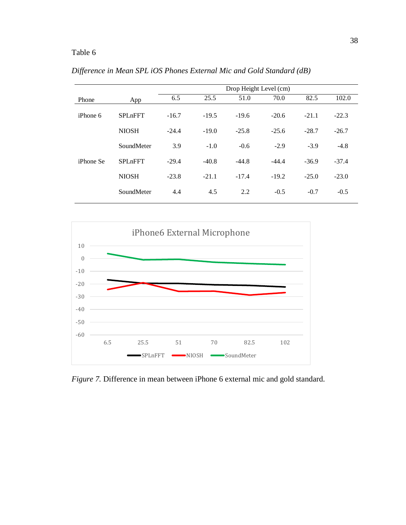# Table 6

|                  |                | Drop Height Level (cm) |         |         |         |         |         |  |
|------------------|----------------|------------------------|---------|---------|---------|---------|---------|--|
| Phone            | App            | 6.5                    | 25.5    | 51.0    | 70.0    | 82.5    | 102.0   |  |
| iPhone 6         | <b>SPLnFFT</b> | $-16.7$                | $-19.5$ | $-19.6$ | $-20.6$ | $-21.1$ | $-22.3$ |  |
|                  | <b>NIOSH</b>   | $-24.4$                | $-19.0$ | $-25.8$ | $-25.6$ | $-28.7$ | $-26.7$ |  |
|                  | SoundMeter     | 3.9                    | $-1.0$  | $-0.6$  | $-2.9$  | $-3.9$  | $-4.8$  |  |
| <i>iPhone Se</i> | <b>SPLnFFT</b> | $-29.4$                | $-40.8$ | $-44.8$ | $-44.4$ | $-36.9$ | $-37.4$ |  |
|                  | <b>NIOSH</b>   | $-23.8$                | $-21.1$ | $-17.4$ | $-19.2$ | $-25.0$ | $-23.0$ |  |
|                  | SoundMeter     | 4.4                    | 4.5     | 2.2     | $-0.5$  | $-0.7$  | $-0.5$  |  |

*Difference in Mean SPL iOS Phones External Mic and Gold Standard (dB)*



*Figure 7.* Difference in mean between iPhone 6 external mic and gold standard.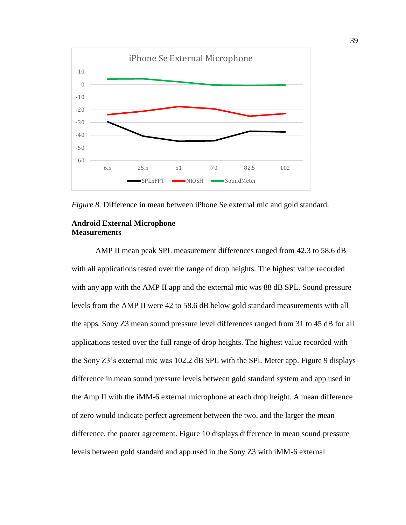

*Figure 8.* Difference in mean between iPhone Se external mic and gold standard.

## **Android External Microphone Measurements**

AMP II mean peak SPL measurement differences ranged from 42.3 to 58.6 dB with all applications tested over the range of drop heights. The highest value recorded with any app with the AMP II app and the external mic was 88 dB SPL. Sound pressure levels from the AMP II were 42 to 58.6 dB below gold standard measurements with all the apps. Sony Z3 mean sound pressure level differences ranged from 31 to 45 dB for all applications tested over the full range of drop heights. The highest value recorded with the Sony Z3's external mic was 102.2 dB SPL with the SPL Meter app. Figure 9 displays difference in mean sound pressure levels between gold standard system and app used in the Amp II with the iMM-6 external microphone at each drop height. A mean difference of zero would indicate perfect agreement between the two, and the larger the mean difference, the poorer agreement. Figure 10 displays difference in mean sound pressure levels between gold standard and app used in the Sony Z3 with iMM-6 external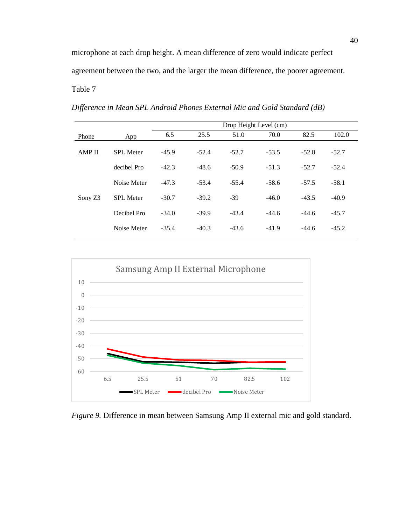microphone at each drop height. A mean difference of zero would indicate perfect agreement between the two, and the larger the mean difference, the poorer agreement. Table 7

*Difference in Mean SPL Android Phones External Mic and Gold Standard (dB)*

|               |                  | Drop Height Level (cm) |         |         |         |         |         |  |
|---------------|------------------|------------------------|---------|---------|---------|---------|---------|--|
| Phone         | App              | 6.5                    | 25.5    | 51.0    | 70.0    | 82.5    | 102.0   |  |
| <b>AMP II</b> | <b>SPL</b> Meter | $-45.9$                | $-52.4$ | $-52.7$ | $-53.5$ | $-52.8$ | $-52.7$ |  |
|               | decibel Pro      | $-42.3$                | $-48.6$ | $-50.9$ | $-51.3$ | $-52.7$ | $-52.4$ |  |
|               | Noise Meter      | $-47.3$                | $-53.4$ | $-55.4$ | $-58.6$ | $-57.5$ | $-58.1$ |  |
| Sony Z3       | <b>SPL</b> Meter | $-30.7$                | $-39.2$ | $-39$   | $-46.0$ | $-43.5$ | $-40.9$ |  |
|               | Decibel Pro      | $-34.0$                | $-39.9$ | $-43.4$ | $-44.6$ | $-44.6$ | $-45.7$ |  |
|               | Noise Meter      | $-35.4$                | $-40.3$ | $-43.6$ | $-41.9$ | $-44.6$ | $-45.2$ |  |



*Figure 9.* Difference in mean between Samsung Amp II external mic and gold standard.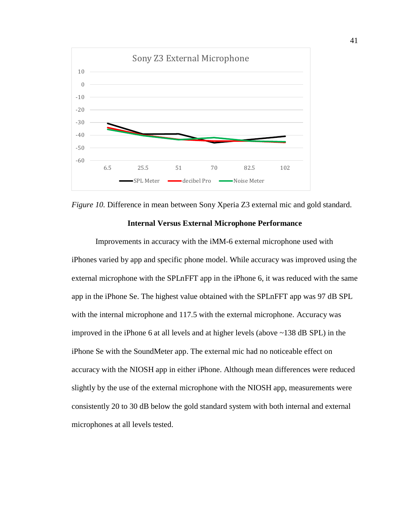



## **Internal Versus External Microphone Performance**

Improvements in accuracy with the iMM-6 external microphone used with iPhones varied by app and specific phone model. While accuracy was improved using the external microphone with the SPLnFFT app in the iPhone 6, it was reduced with the same app in the iPhone Se. The highest value obtained with the SPLnFFT app was 97 dB SPL with the internal microphone and 117.5 with the external microphone. Accuracy was improved in the iPhone 6 at all levels and at higher levels (above ~138 dB SPL) in the iPhone Se with the SoundMeter app. The external mic had no noticeable effect on accuracy with the NIOSH app in either iPhone. Although mean differences were reduced slightly by the use of the external microphone with the NIOSH app, measurements were consistently 20 to 30 dB below the gold standard system with both internal and external microphones at all levels tested.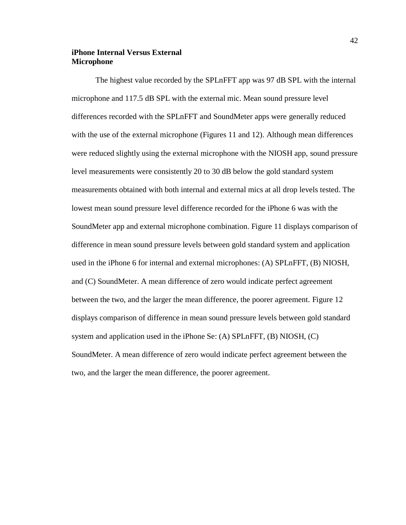## **iPhone Internal Versus External Microphone**

The highest value recorded by the SPLnFFT app was 97 dB SPL with the internal microphone and 117.5 dB SPL with the external mic. Mean sound pressure level differences recorded with the SPLnFFT and SoundMeter apps were generally reduced with the use of the external microphone (Figures 11 and 12). Although mean differences were reduced slightly using the external microphone with the NIOSH app, sound pressure level measurements were consistently 20 to 30 dB below the gold standard system measurements obtained with both internal and external mics at all drop levels tested. The lowest mean sound pressure level difference recorded for the iPhone 6 was with the SoundMeter app and external microphone combination. Figure 11 displays comparison of difference in mean sound pressure levels between gold standard system and application used in the iPhone 6 for internal and external microphones: (A) SPLnFFT, (B) NIOSH, and (C) SoundMeter. A mean difference of zero would indicate perfect agreement between the two, and the larger the mean difference, the poorer agreement. Figure 12 displays comparison of difference in mean sound pressure levels between gold standard system and application used in the iPhone Se: (A) SPLnFFT, (B) NIOSH, (C) SoundMeter. A mean difference of zero would indicate perfect agreement between the two, and the larger the mean difference, the poorer agreement.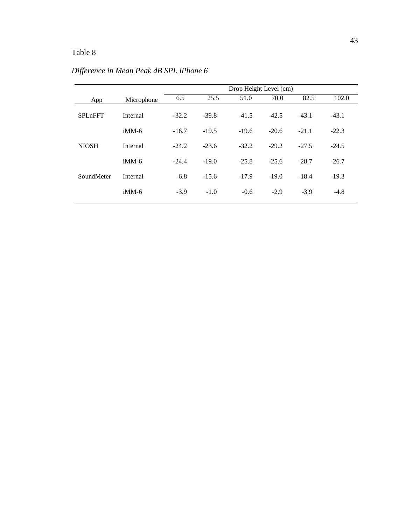# Table 8

|                |            | Drop Height Level (cm) |         |         |         |         |         |  |
|----------------|------------|------------------------|---------|---------|---------|---------|---------|--|
| App            | Microphone | 6.5                    | 25.5    | 51.0    | 70.0    | 82.5    | 102.0   |  |
| <b>SPLnFFT</b> | Internal   | $-32.2$                | $-39.8$ | $-41.5$ | $-42.5$ | $-43.1$ | $-43.1$ |  |
|                | $i$ MM-6   | $-16.7$                | $-19.5$ | $-19.6$ | $-20.6$ | $-21.1$ | $-22.3$ |  |
| <b>NIOSH</b>   | Internal   | $-24.2$                | $-23.6$ | $-32.2$ | $-29.2$ | $-27.5$ | $-24.5$ |  |
|                | $i$ MM-6   | $-24.4$                | $-19.0$ | $-25.8$ | $-25.6$ | $-28.7$ | $-26.7$ |  |
| SoundMeter     | Internal   | $-6.8$                 | $-15.6$ | $-17.9$ | $-19.0$ | $-18.4$ | $-19.3$ |  |
|                | $i$ MM-6   | $-3.9$                 | $-1.0$  | $-0.6$  | $-2.9$  | $-3.9$  | $-4.8$  |  |

*Difference in Mean Peak dB SPL iPhone 6*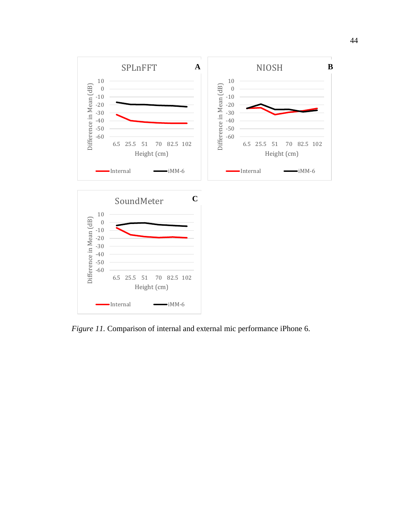

*Figure 11.* Comparison of internal and external mic performance iPhone 6.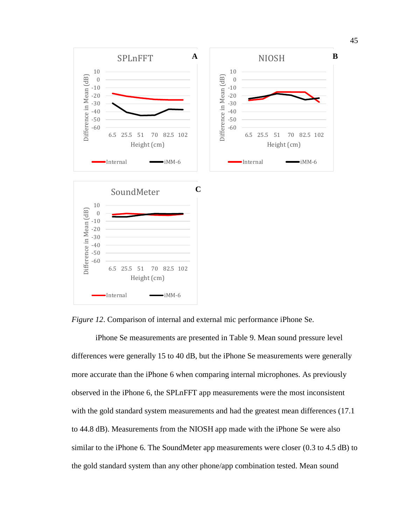



iPhone Se measurements are presented in Table 9. Mean sound pressure level differences were generally 15 to 40 dB, but the iPhone Se measurements were generally more accurate than the iPhone 6 when comparing internal microphones. As previously observed in the iPhone 6, the SPLnFFT app measurements were the most inconsistent with the gold standard system measurements and had the greatest mean differences (17.1) to 44.8 dB). Measurements from the NIOSH app made with the iPhone Se were also similar to the iPhone 6. The SoundMeter app measurements were closer (0.3 to 4.5 dB) to the gold standard system than any other phone/app combination tested. Mean sound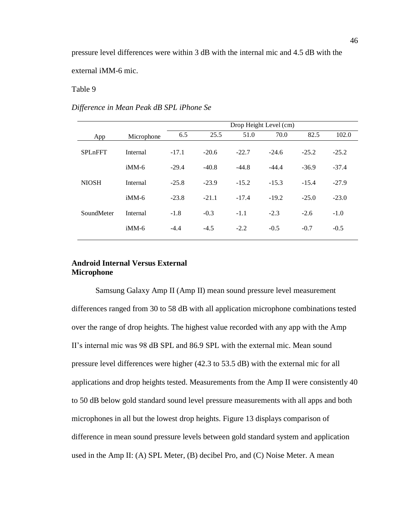Table 9

### *Difference in Mean Peak dB SPL iPhone Se*

|                |            | Drop Height Level (cm) |         |         |         |         |         |  |
|----------------|------------|------------------------|---------|---------|---------|---------|---------|--|
| App            | Microphone | 6.5                    | 25.5    | 51.0    | 70.0    | 82.5    | 102.0   |  |
| <b>SPLnFFT</b> | Internal   | $-17.1$                | $-20.6$ | $-22.7$ | $-24.6$ | $-25.2$ | $-25.2$ |  |
|                | $i$ MM-6   | $-29.4$                | $-40.8$ | $-44.8$ | $-44.4$ | $-36.9$ | $-37.4$ |  |
| <b>NIOSH</b>   | Internal   | $-25.8$                | $-23.9$ | $-15.2$ | $-15.3$ | $-15.4$ | $-27.9$ |  |
|                | $i$ MM-6   | $-23.8$                | $-21.1$ | $-17.4$ | $-19.2$ | $-25.0$ | $-23.0$ |  |
| SoundMeter     | Internal   | $-1.8$                 | $-0.3$  | $-1.1$  | $-2.3$  | $-2.6$  | $-1.0$  |  |
|                | $i$ MM-6   | $-4.4$                 | $-4.5$  | $-2.2$  | $-0.5$  | $-0.7$  | $-0.5$  |  |

## **Android Internal Versus External Microphone**

Samsung Galaxy Amp II (Amp II) mean sound pressure level measurement differences ranged from 30 to 58 dB with all application microphone combinations tested over the range of drop heights. The highest value recorded with any app with the Amp II's internal mic was 98 dB SPL and 86.9 SPL with the external mic. Mean sound pressure level differences were higher (42.3 to 53.5 dB) with the external mic for all applications and drop heights tested. Measurements from the Amp II were consistently 40 to 50 dB below gold standard sound level pressure measurements with all apps and both microphones in all but the lowest drop heights. Figure 13 displays comparison of difference in mean sound pressure levels between gold standard system and application used in the Amp II: (A) SPL Meter, (B) decibel Pro, and (C) Noise Meter. A mean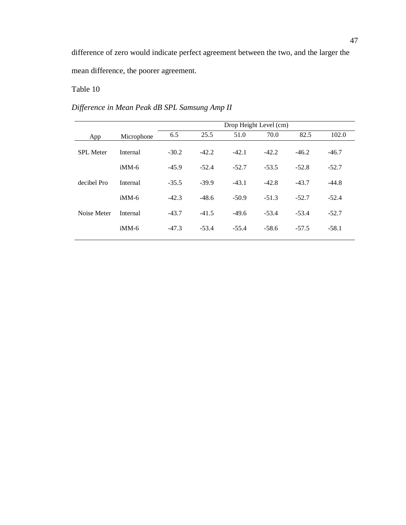difference of zero would indicate perfect agreement between the two, and the larger the mean difference, the poorer agreement.

# Table 10

# *Difference in Mean Peak dB SPL Samsung Amp II*

|                  |            | Drop Height Level (cm) |         |         |         |         |         |  |  |
|------------------|------------|------------------------|---------|---------|---------|---------|---------|--|--|
| App              | Microphone | 6.5                    | 25.5    | 51.0    | 70.0    | 82.5    | 102.0   |  |  |
| <b>SPL</b> Meter | Internal   | $-30.2$                | $-42.2$ | $-42.1$ | $-42.2$ | $-46.2$ | $-46.7$ |  |  |
|                  | $i$ MM-6   | $-45.9$                | $-52.4$ | $-52.7$ | $-53.5$ | $-52.8$ | $-52.7$ |  |  |
| decibel Pro      | Internal   | $-35.5$                | $-39.9$ | $-43.1$ | $-42.8$ | $-43.7$ | $-44.8$ |  |  |
|                  | $i$ MM-6   | $-42.3$                | $-48.6$ | $-50.9$ | $-51.3$ | $-52.7$ | $-52.4$ |  |  |
| Noise Meter      | Internal   | $-43.7$                | $-41.5$ | $-49.6$ | $-53.4$ | $-53.4$ | $-52.7$ |  |  |
|                  | $i$ MM-6   | $-47.3$                | $-53.4$ | $-55.4$ | $-58.6$ | $-57.5$ | $-58.1$ |  |  |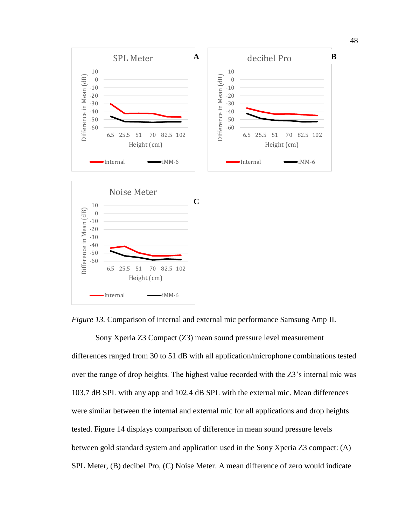

*Figure 13.* Comparison of internal and external mic performance Samsung Amp II.

Sony Xperia Z3 Compact (Z3) mean sound pressure level measurement differences ranged from 30 to 51 dB with all application/microphone combinations tested over the range of drop heights. The highest value recorded with the Z3's internal mic was 103.7 dB SPL with any app and 102.4 dB SPL with the external mic. Mean differences were similar between the internal and external mic for all applications and drop heights tested. Figure 14 displays comparison of difference in mean sound pressure levels between gold standard system and application used in the Sony Xperia Z3 compact: (A) SPL Meter, (B) decibel Pro, (C) Noise Meter. A mean difference of zero would indicate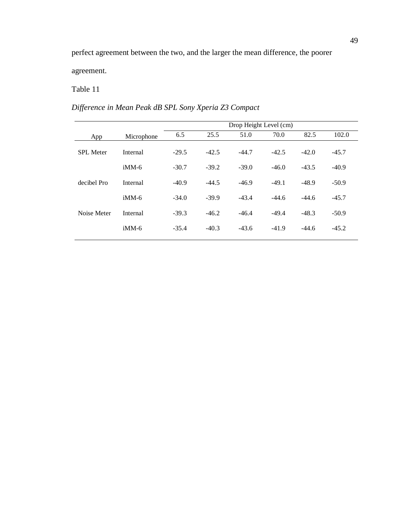agreement.

# Table 11

# *Difference in Mean Peak dB SPL Sony Xperia Z3 Compact*

|                  |            | Drop Height Level (cm) |         |         |         |         |         |  |
|------------------|------------|------------------------|---------|---------|---------|---------|---------|--|
| App              | Microphone | 6.5                    | 25.5    | 51.0    | 70.0    | 82.5    | 102.0   |  |
| <b>SPL</b> Meter | Internal   | $-29.5$                | $-42.5$ | $-44.7$ | $-42.5$ | $-42.0$ | $-45.7$ |  |
|                  | $i$ MM-6   | $-30.7$                | $-39.2$ | $-39.0$ | $-46.0$ | $-43.5$ | $-40.9$ |  |
| decibel Pro      | Internal   | $-40.9$                | $-44.5$ | $-46.9$ | $-49.1$ | $-48.9$ | $-50.9$ |  |
|                  | $i$ MM-6   | $-34.0$                | $-39.9$ | $-43.4$ | $-44.6$ | $-44.6$ | $-45.7$ |  |
| Noise Meter      | Internal   | $-39.3$                | $-46.2$ | $-46.4$ | $-49.4$ | $-48.3$ | $-50.9$ |  |
|                  | $i$ MM-6   | $-35.4$                | $-40.3$ | $-43.6$ | $-41.9$ | $-44.6$ | $-45.2$ |  |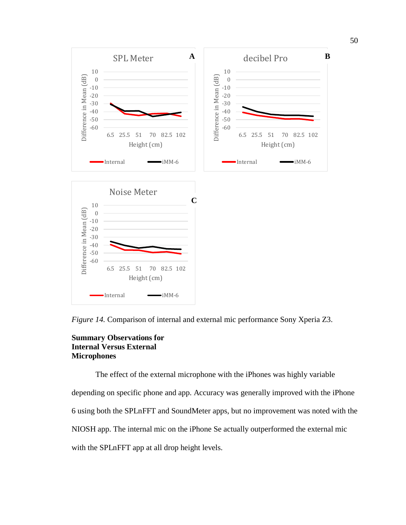

*Figure 14.* Comparison of internal and external mic performance Sony Xperia Z3.

## **Summary Observations for Internal Versus External Microphones**

The effect of the external microphone with the iPhones was highly variable depending on specific phone and app. Accuracy was generally improved with the iPhone 6 using both the SPLnFFT and SoundMeter apps, but no improvement was noted with the NIOSH app. The internal mic on the iPhone Se actually outperformed the external mic with the SPLnFFT app at all drop height levels.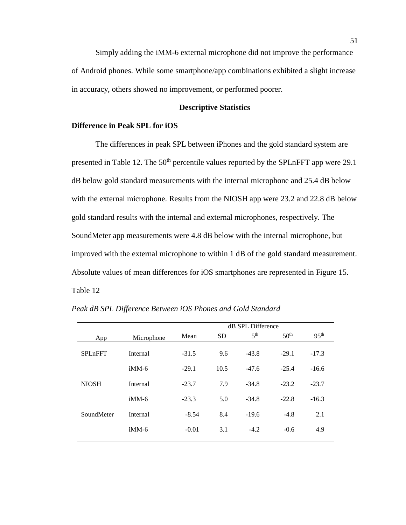Simply adding the iMM-6 external microphone did not improve the performance of Android phones. While some smartphone/app combinations exhibited a slight increase in accuracy, others showed no improvement, or performed poorer.

### **Descriptive Statistics**

### **Difference in Peak SPL for iOS**

The differences in peak SPL between iPhones and the gold standard system are presented in Table 12. The  $50<sup>th</sup>$  percentile values reported by the SPLnFFT app were 29.1 dB below gold standard measurements with the internal microphone and 25.4 dB below with the external microphone. Results from the NIOSH app were 23.2 and 22.8 dB below gold standard results with the internal and external microphones, respectively. The SoundMeter app measurements were 4.8 dB below with the internal microphone, but improved with the external microphone to within 1 dB of the gold standard measurement. Absolute values of mean differences for iOS smartphones are represented in Figure 15. Table 12

|                |            | dB SPL Difference |           |                 |                  |                  |  |  |
|----------------|------------|-------------------|-----------|-----------------|------------------|------------------|--|--|
| App            | Microphone | Mean              | <b>SD</b> | 5 <sup>th</sup> | 50 <sup>th</sup> | 95 <sup>th</sup> |  |  |
| <b>SPLnFFT</b> | Internal   | $-31.5$           | 9.6       | $-43.8$         | $-29.1$          | $-17.3$          |  |  |
|                | $i$ MM-6   | $-29.1$           | 10.5      | $-47.6$         | $-25.4$          | $-16.6$          |  |  |
| <b>NIOSH</b>   | Internal   | $-23.7$           | 7.9       | $-34.8$         | $-23.2$          | $-23.7$          |  |  |
|                | $i$ MM-6   | $-23.3$           | 5.0       | $-34.8$         | $-22.8$          | $-16.3$          |  |  |
| SoundMeter     | Internal   | $-8.54$           | 8.4       | $-19.6$         | $-4.8$           | 2.1              |  |  |
|                | $i$ MM-6   | $-0.01$           | 3.1       | $-4.2$          | $-0.6$           | 4.9              |  |  |
|                |            |                   |           |                 |                  |                  |  |  |

*Peak dB SPL Difference Between iOS Phones and Gold Standard*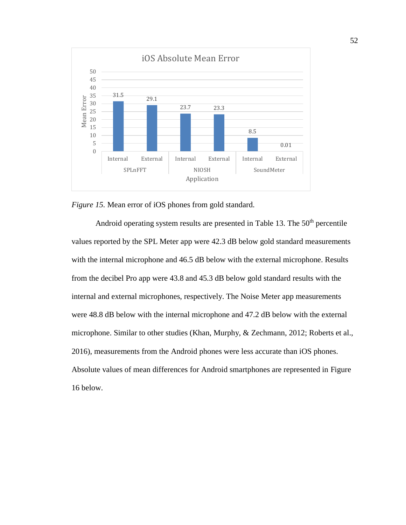

*Figure 15.* Mean error of iOS phones from gold standard.

Android operating system results are presented in Table 13. The  $50<sup>th</sup>$  percentile values reported by the SPL Meter app were 42.3 dB below gold standard measurements with the internal microphone and 46.5 dB below with the external microphone. Results from the decibel Pro app were 43.8 and 45.3 dB below gold standard results with the internal and external microphones, respectively. The Noise Meter app measurements were 48.8 dB below with the internal microphone and 47.2 dB below with the external microphone. Similar to other studies (Khan, Murphy, & Zechmann, 2012; Roberts et al., 2016), measurements from the Android phones were less accurate than iOS phones. Absolute values of mean differences for Android smartphones are represented in Figure 16 below.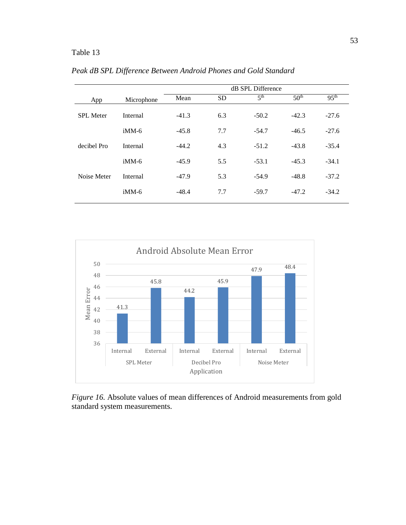# Table 13

|                  |            | dB SPL Difference |           |                 |                  |                  |  |  |  |
|------------------|------------|-------------------|-----------|-----------------|------------------|------------------|--|--|--|
| App              | Microphone | Mean              | <b>SD</b> | 5 <sup>th</sup> | 50 <sup>th</sup> | 95 <sup>th</sup> |  |  |  |
| <b>SPL</b> Meter | Internal   | $-41.3$           | 6.3       | $-50.2$         | $-42.3$          | $-27.6$          |  |  |  |
|                  | $i$ MM-6   | $-45.8$           | 7.7       | $-54.7$         | $-46.5$          | $-27.6$          |  |  |  |
| decibel Pro      | Internal   | $-44.2$           | 4.3       | $-51.2$         | $-43.8$          | $-35.4$          |  |  |  |
|                  | $i$ MM-6   | $-45.9$           | 5.5       | $-53.1$         | $-45.3$          | $-34.1$          |  |  |  |
| Noise Meter      | Internal   | $-47.9$           | 5.3       | $-54.9$         | $-48.8$          | $-37.2$          |  |  |  |
|                  | $i$ MM-6   | $-48.4$           | 7.7       | $-59.7$         | $-47.2$          | $-34.2$          |  |  |  |

*Peak dB SPL Difference Between Android Phones and Gold Standard*



*Figure 16.* Absolute values of mean differences of Android measurements from gold standard system measurements*.*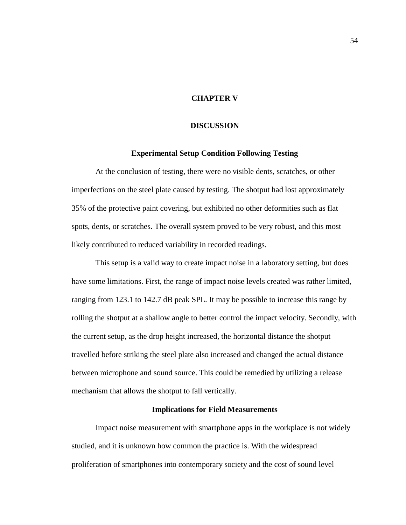## **CHAPTER V**

### **DISCUSSION**

### **Experimental Setup Condition Following Testing**

At the conclusion of testing, there were no visible dents, scratches, or other imperfections on the steel plate caused by testing. The shotput had lost approximately 35% of the protective paint covering, but exhibited no other deformities such as flat spots, dents, or scratches. The overall system proved to be very robust, and this most likely contributed to reduced variability in recorded readings.

This setup is a valid way to create impact noise in a laboratory setting, but does have some limitations. First, the range of impact noise levels created was rather limited, ranging from 123.1 to 142.7 dB peak SPL. It may be possible to increase this range by rolling the shotput at a shallow angle to better control the impact velocity. Secondly, with the current setup, as the drop height increased, the horizontal distance the shotput travelled before striking the steel plate also increased and changed the actual distance between microphone and sound source. This could be remedied by utilizing a release mechanism that allows the shotput to fall vertically.

### **Implications for Field Measurements**

Impact noise measurement with smartphone apps in the workplace is not widely studied, and it is unknown how common the practice is. With the widespread proliferation of smartphones into contemporary society and the cost of sound level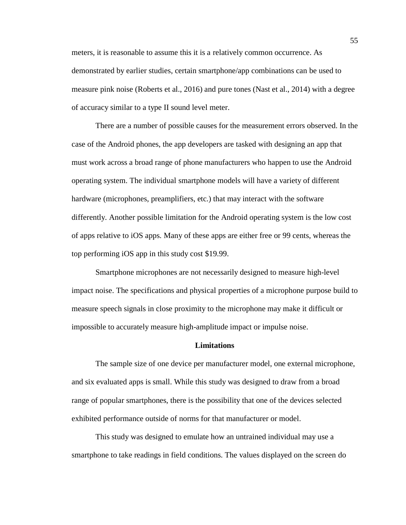meters, it is reasonable to assume this it is a relatively common occurrence. As demonstrated by earlier studies, certain smartphone/app combinations can be used to measure pink noise (Roberts et al., 2016) and pure tones (Nast et al., 2014) with a degree of accuracy similar to a type II sound level meter.

There are a number of possible causes for the measurement errors observed. In the case of the Android phones, the app developers are tasked with designing an app that must work across a broad range of phone manufacturers who happen to use the Android operating system. The individual smartphone models will have a variety of different hardware (microphones, preamplifiers, etc.) that may interact with the software differently. Another possible limitation for the Android operating system is the low cost of apps relative to iOS apps. Many of these apps are either free or 99 cents, whereas the top performing iOS app in this study cost \$19.99.

Smartphone microphones are not necessarily designed to measure high-level impact noise. The specifications and physical properties of a microphone purpose build to measure speech signals in close proximity to the microphone may make it difficult or impossible to accurately measure high-amplitude impact or impulse noise.

#### **Limitations**

The sample size of one device per manufacturer model, one external microphone, and six evaluated apps is small. While this study was designed to draw from a broad range of popular smartphones, there is the possibility that one of the devices selected exhibited performance outside of norms for that manufacturer or model.

This study was designed to emulate how an untrained individual may use a smartphone to take readings in field conditions. The values displayed on the screen do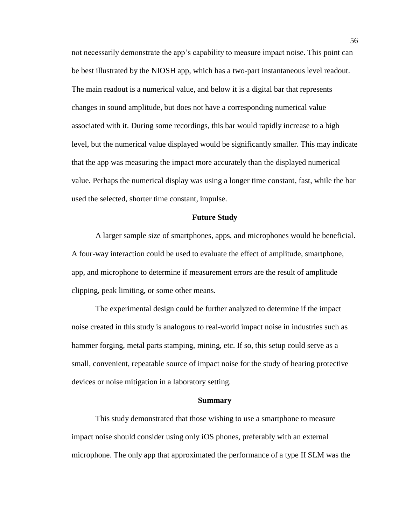not necessarily demonstrate the app's capability to measure impact noise. This point can be best illustrated by the NIOSH app, which has a two-part instantaneous level readout. The main readout is a numerical value, and below it is a digital bar that represents changes in sound amplitude, but does not have a corresponding numerical value associated with it. During some recordings, this bar would rapidly increase to a high level, but the numerical value displayed would be significantly smaller. This may indicate that the app was measuring the impact more accurately than the displayed numerical value. Perhaps the numerical display was using a longer time constant, fast, while the bar used the selected, shorter time constant, impulse.

#### **Future Study**

A larger sample size of smartphones, apps, and microphones would be beneficial. A four-way interaction could be used to evaluate the effect of amplitude, smartphone, app, and microphone to determine if measurement errors are the result of amplitude clipping, peak limiting, or some other means.

The experimental design could be further analyzed to determine if the impact noise created in this study is analogous to real-world impact noise in industries such as hammer forging, metal parts stamping, mining, etc. If so, this setup could serve as a small, convenient, repeatable source of impact noise for the study of hearing protective devices or noise mitigation in a laboratory setting.

#### **Summary**

This study demonstrated that those wishing to use a smartphone to measure impact noise should consider using only iOS phones, preferably with an external microphone. The only app that approximated the performance of a type II SLM was the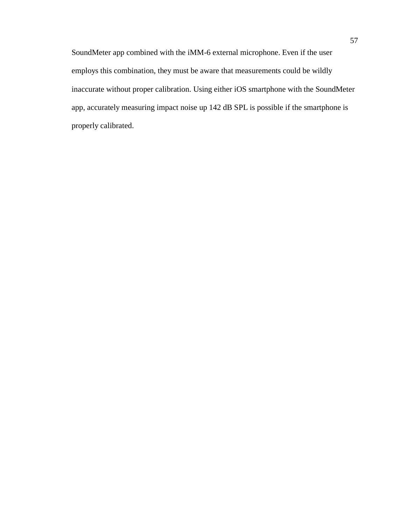SoundMeter app combined with the iMM-6 external microphone. Even if the user employs this combination, they must be aware that measurements could be wildly inaccurate without proper calibration. Using either iOS smartphone with the SoundMeter app, accurately measuring impact noise up 142 dB SPL is possible if the smartphone is properly calibrated.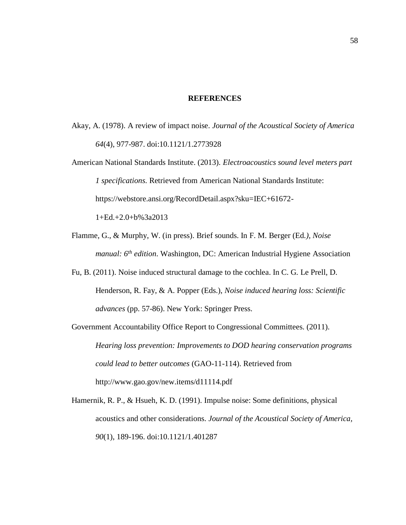### **REFERENCES**

- Akay, A. (1978). A review of impact noise. *Journal of the Acoustical Society of America 64*(4), 977-987. doi:10.1121/1.2773928
- American National Standards Institute. (2013). *Electroacoustics sound level meters part 1 specifications.* Retrieved from American National Standards Institute: https://webstore.ansi.org/RecordDetail.aspx?sku=IEC+61672-

 $1+Ed.+2.0+b\%3a2013$ 

- Flamme, G., & Murphy, W. (in press). Brief sounds. In F. M. Berger (Ed*.), Noise manual: 6th edition*. Washington, DC: American Industrial Hygiene Association
- Fu, B. (2011). Noise induced structural damage to the cochlea. In C. G. Le Prell, D. Henderson, R. Fay, & A. Popper (Eds.), *Noise induced hearing loss: Scientific advances* (pp. 57-86). New York: Springer Press.
- Government Accountability Office Report to Congressional Committees. (2011). *Hearing loss prevention: Improvements to DOD hearing conservation programs could lead to better outcomes* (GAO-11-114). Retrieved from http://www.gao.gov/new.items/d11114.pdf
- Hamernik, R. P., & Hsueh, K. D. (1991). Impulse noise: Some definitions, physical acoustics and other considerations. *Journal of the Acoustical Society of America, 90*(1), 189-196. doi:10.1121/1.401287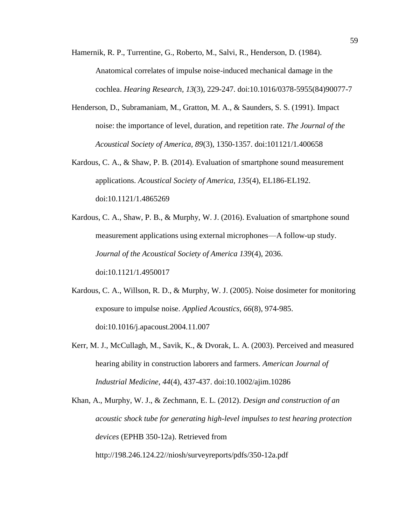Hamernik, R. P., Turrentine, G., Roberto, M., Salvi, R., Henderson, D. (1984). Anatomical correlates of impulse noise-induced mechanical damage in the cochlea. *Hearing Research, 13*(3), 229-247. doi:10.1016/0378-5955(84)90077-7

- Henderson, D., Subramaniam, M., Gratton, M. A., & Saunders, S. S. (1991). Impact noise: the importance of level, duration, and repetition rate. *The Journal of the Acoustical Society of America, 89*(3), 1350-1357. doi:101121/1.400658
- Kardous, C. A., & Shaw, P. B. (2014). Evaluation of smartphone sound measurement applications. *Acoustical Society of America, 135*(4), EL186-EL192. doi:10.1121/1.4865269
- Kardous, C. A., Shaw, P. B., & Murphy, W. J. (2016). Evaluation of smartphone sound measurement applications using external microphones—A follow-up study. *Journal of the Acoustical Society of America 139*(4), 2036. doi:10.1121/1.4950017
- Kardous, C. A., Willson, R. D., & Murphy, W. J. (2005). Noise dosimeter for monitoring exposure to impulse noise. *Applied Acoustics, 66*(8), 974-985. doi:10.1016/j.apacoust.2004.11.007
- Kerr, M. J., McCullagh, M., Savik, K., & Dvorak, L. A. (2003). Perceived and measured hearing ability in construction laborers and farmers. *American Journal of Industrial Medicine, 44*(4), 437-437. doi:10.1002/ajim.10286

Khan, A., Murphy, W. J., & Zechmann, E. L. (2012). *Design and construction of an acoustic shock tube for generating high-level impulses to test hearing protection devices* (EPHB 350-12a). Retrieved from http://198.246.124.22//niosh/surveyreports/pdfs/350-12a.pdf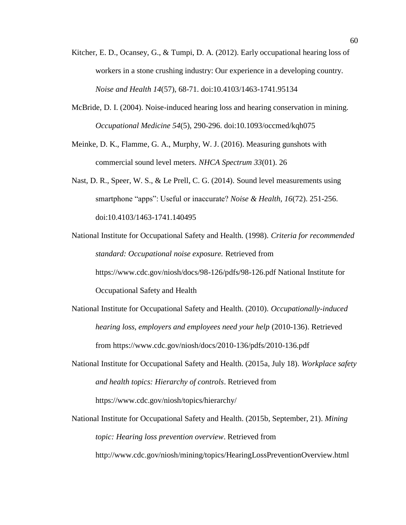- Kitcher, E. D., Ocansey, G., & Tumpi, D. A. (2012). Early occupational hearing loss of workers in a stone crushing industry: Our experience in a developing country. *Noise and Health 14*(57), 68-71. doi:10.4103/1463-1741.95134
- McBride, D. I. (2004). Noise-induced hearing loss and hearing conservation in mining. *Occupational Medicine 54*(5), 290-296. doi:10.1093/occmed/kqh075
- Meinke, D. K., Flamme, G. A., Murphy, W. J. (2016). Measuring gunshots with commercial sound level meters. *NHCA Spectrum 33*(01). 26
- Nast, D. R., Speer, W. S., & Le Prell, C. G. (2014). Sound level measurements using smartphone "apps": Useful or inaccurate? *Noise & Health, 16*(72). 251-256. doi:10.4103/1463-1741.140495
- National Institute for Occupational Safety and Health. (1998). *Criteria for recommended standard: Occupational noise exposure.* Retrieved from https://www.cdc.gov/niosh/docs/98-126/pdfs/98-126.pdf National Institute for Occupational Safety and Health
- National Institute for Occupational Safety and Health. (2010). *Occupationally-induced hearing loss, employers and employees need your help* (2010-136). Retrieved from https://www.cdc.gov/niosh/docs/2010-136/pdfs/2010-136.pdf
- National Institute for Occupational Safety and Health. (2015a, July 18). *Workplace safety and health topics: Hierarchy of controls*. Retrieved from https://www.cdc.gov/niosh/topics/hierarchy/
- National Institute for Occupational Safety and Health. (2015b, September, 21). *Mining topic: Hearing loss prevention overview*. Retrieved from http://www.cdc.gov/niosh/mining/topics/HearingLossPreventionOverview.html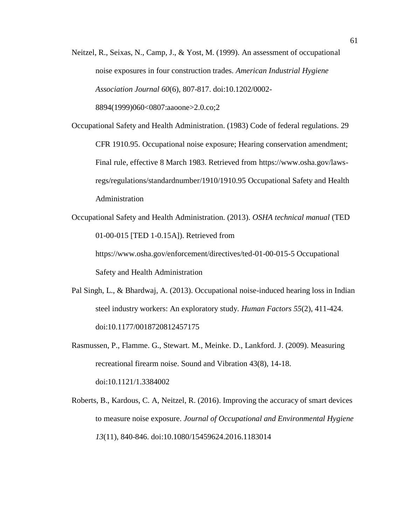- Neitzel, R., Seixas, N., Camp, J., & Yost, M. (1999). An assessment of occupational noise exposures in four construction trades. *American Industrial Hygiene Association Journal 60*(6), 807-817. doi:10.1202/0002- 8894(1999)060<0807:aaoone>2.0.co;2
- Occupational Safety and Health Administration. (1983) Code of federal regulations. 29 CFR 1910.95. Occupational noise exposure; Hearing conservation amendment; Final rule, effective 8 March 1983. Retrieved from https://www.osha.gov/lawsregs/regulations/standardnumber/1910/1910.95 Occupational Safety and Health Administration
- Occupational Safety and Health Administration. (2013). *OSHA technical manual* (TED 01-00-015 [TED 1-0.15A]). Retrieved from https://www.osha.gov/enforcement/directives/ted-01-00-015-5 Occupational Safety and Health Administration
- Pal Singh, L., & Bhardwaj, A. (2013). Occupational noise-induced hearing loss in Indian steel industry workers: An exploratory study. *Human Factors 55*(2), 411-424. doi:10.1177/0018720812457175
- Rasmussen, P., Flamme. G., Stewart. M., Meinke. D., Lankford. J. (2009). Measuring recreational firearm noise. Sound and Vibration 43(8), 14-18. doi:10.1121/1.3384002
- Roberts, B., Kardous, C. A, Neitzel, R. (2016). Improving the accuracy of smart devices to measure noise exposure. *Journal of Occupational and Environmental Hygiene 13*(11), 840-846. doi:10.1080/15459624.2016.1183014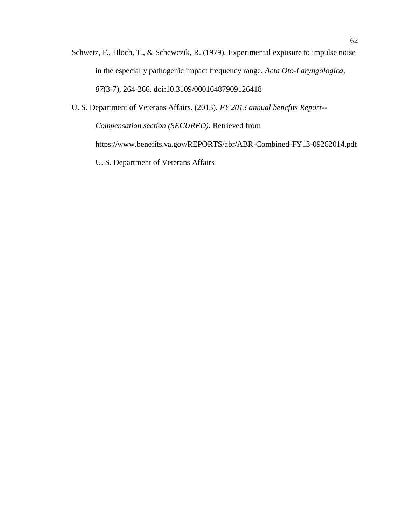- Schwetz, F., Hloch, T., & Schewczik, R. (1979). Experimental exposure to impulse noise in the especially pathogenic impact frequency range. *Acta Oto-Laryngologica, 87*(3-7), 264-266. doi:10.3109/00016487909126418
- U. S. Department of Veterans Affairs. (2013). *FY 2013 annual benefits Report-- Compensation section (SECURED).* Retrieved from https://www.benefits.va.gov/REPORTS/abr/ABR-Combined-FY13-09262014.pdf U. S. Department of Veterans Affairs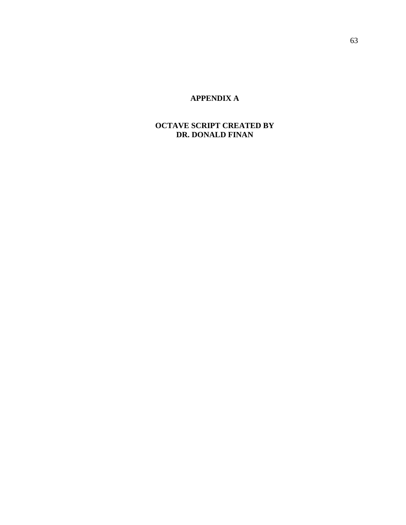## **APPENDIX A**

## **OCTAVE SCRIPT CREATED BY DR. DONALD FINAN**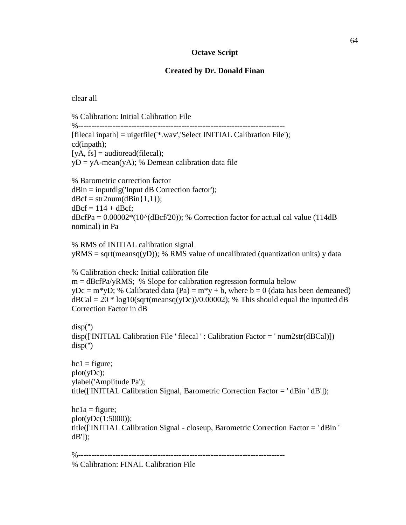## **Octave Script**

## **Created by Dr. Donald Finan**

clear all

% Calibration: Initial Calibration File

%------------------------------------------------------------------------------ [filecal inpath] = uigetfile('\*.wav','Select INITIAL Calibration File'); cd(inpath);  $[yA, fs] = \text{audioread}(\text{filecal})$ ;  $yD = yA-mean(yA);$  % Demean calibration data file

% Barometric correction factor  $dBin = inputdlg(Input dB Correction factor);$  $d\text{Bcf} = \text{str2num}(d\text{Bin}\{1,1\})$ ;  $d\text{Bcf} = 114 + d\text{Bcf};$  $dBcfPa = 0.00002*(10^(dBc f/20));$  % Correction factor for actual cal value (114dB) nominal) in Pa

% RMS of INITIAL calibration signal  $yRMS = sqrt(meansq(yD));$  % RMS value of uncalibrated (quantization units) y data

% Calibration check: Initial calibration file  $m = d\text{B}$ cfPa/yRMS; % Slope for calibration regression formula below  $yDc = m*yD$ ; % Calibrated data (Pa) =  $m*y + b$ , where b = 0 (data has been demeaned)  $dBCal = 20 * log10(sqrt(meansq(yDc))/0.00002)$ ; % This should equal the inputted dB Correction Factor in dB

disp('') disp(['INITIAL Calibration File ' filecal ' : Calibration Factor = ' num2str(dBCal)]) disp('')

 $hc1 =$  figure; plot(yDc); ylabel('Amplitude Pa'); title(['INITIAL Calibration Signal, Barometric Correction Factor = ' dBin ' dB']);

 $hc1a = figure;$ plot(yDc(1:5000)); title(['INITIAL Calibration Signal - closeup, Barometric Correction Factor = ' dBin ' dB']);

%------------------------------------------------------------------------------

% Calibration: FINAL Calibration File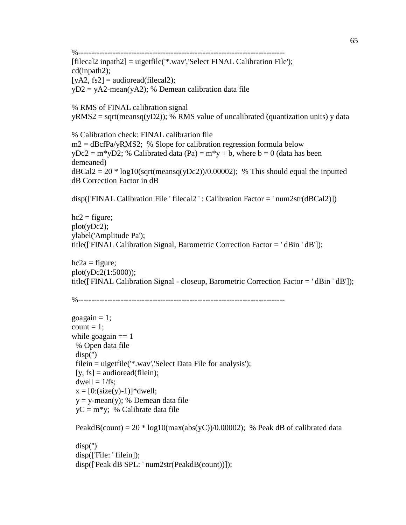%------------------------------------------------------------------------------

[filecal2 inpath2] = uigetfile('\*.wav','Select FINAL Calibration File'); cd(inpath2);  $[yA2, fs2] = \text{audioread}(\text{filecal2});$ yD2 = yA2-mean(yA2); % Demean calibration data file

% RMS of FINAL calibration signal  $yRMS2 = sqrt(meansq(yD2))$ ; % RMS value of uncalibrated (quantization units) y data

% Calibration check: FINAL calibration file  $m2 = d\text{B}$ cfPa/yRMS2; % Slope for calibration regression formula below  $yDc2 = m*yD2$ ; % Calibrated data (Pa) =  $m*y + b$ , where b = 0 (data has been demeaned)  $dBCal2 = 20 * log10(sqrt(meansq(yDc2))/0.00002)$ ; % This should equal the inputted dB Correction Factor in dB

disp(['FINAL Calibration File ' filecal2 ' : Calibration Factor = ' num2str(dBCal2)])

 $hc2 =$  figure; plot(yDc2); ylabel('Amplitude Pa'); title(['FINAL Calibration Signal, Barometric Correction Factor = ' dBin ' dB']);

 $hc2a = figure;$ plot(yDc2(1:5000)); title(['FINAL Calibration Signal - closeup, Barometric Correction Factor = ' dBin ' dB']);

```
%------------------------------------------------------------------------------
```

```
goagain = 1;
count = 1;
while goagain == 1 % Open data file
  disp('')
  filein = uigetfile('*.wav','Select Data File for analysis');
 [y, fs] = \text{audioread}(\text{filein});dwell = 1/fs;x = [0:(size(y)-1)]^*dwell;
 y = y-mean(y); % Demean data file
 yC = m* y; % Calibrate data file
```

```
PeakdB(count) = 20 * log10(max(abs(yC))/0.00002); % Peak dB of calibrated data
 disp('')
disp(['File: ' filein]);
```

```
 disp(['Peak dB SPL: ' num2str(PeakdB(count))]);
```